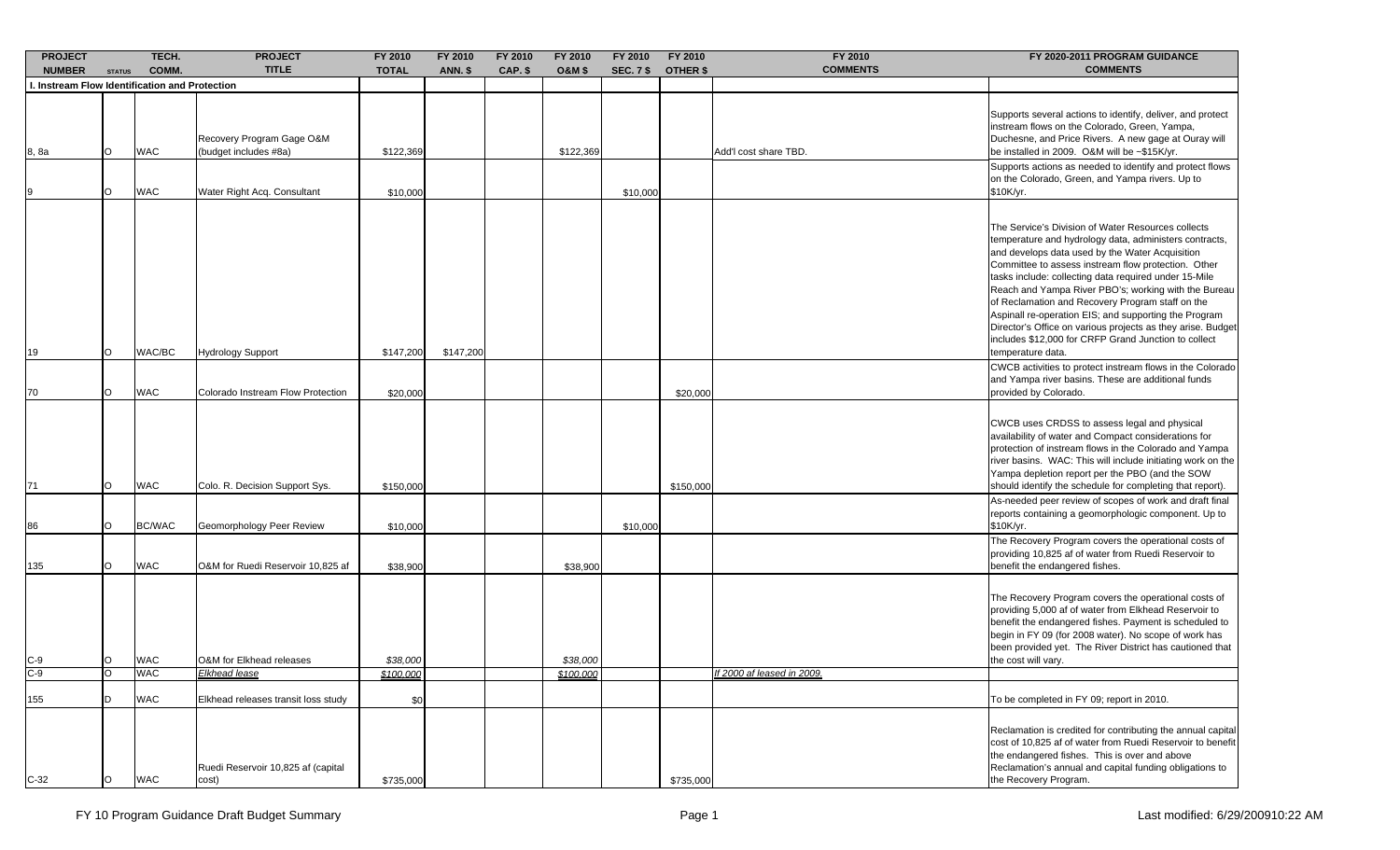| <b>PROJECT</b><br><b>NUMBER</b>                | <b>STATUS</b> | TECH.<br>COMM. | <b>PROJECT</b><br><b>TITLE</b>                     | FY 2010<br><b>TOTAL</b> | FY 2010<br><b>ANN. \$</b> | FY 2010<br>CAP. \$ | FY 2010<br><b>O&amp;M \$</b> | FY 2010<br><b>SEC. 7 \$</b> | FY 2010<br><b>OTHER \$</b> | FY 2010<br><b>COMMENTS</b>        | FY 2020-2011 PROGRAM GUIDANCE<br><b>COMMENTS</b>                                                                                                                                                                                                                                                                                                                                                                                                                                                                                                                                                                                                              |
|------------------------------------------------|---------------|----------------|----------------------------------------------------|-------------------------|---------------------------|--------------------|------------------------------|-----------------------------|----------------------------|-----------------------------------|---------------------------------------------------------------------------------------------------------------------------------------------------------------------------------------------------------------------------------------------------------------------------------------------------------------------------------------------------------------------------------------------------------------------------------------------------------------------------------------------------------------------------------------------------------------------------------------------------------------------------------------------------------------|
| I. Instream Flow Identification and Protection |               |                |                                                    |                         |                           |                    |                              |                             |                            |                                   |                                                                                                                                                                                                                                                                                                                                                                                                                                                                                                                                                                                                                                                               |
| 8, 8a                                          | O             | <b>WAC</b>     | Recovery Program Gage O&M<br>(budget includes #8a) | \$122,369               |                           |                    | \$122,369                    |                             |                            | Add'I cost share TBD.             | Supports several actions to identify, deliver, and protect<br>instream flows on the Colorado, Green, Yampa,<br>Duchesne, and Price Rivers. A new gage at Ouray will<br>be installed in 2009. O&M will be ~\$15K/yr.                                                                                                                                                                                                                                                                                                                                                                                                                                           |
|                                                | O             | <b>WAC</b>     | Water Right Acq. Consultant                        | \$10,000                |                           |                    |                              | \$10,000                    |                            |                                   | Supports actions as needed to identify and protect flows<br>on the Colorado, Green, and Yampa rivers. Up to<br>\$10K/yr.                                                                                                                                                                                                                                                                                                                                                                                                                                                                                                                                      |
| 19                                             | O             | WAC/BC         | <b>Hydrology Support</b>                           | \$147,200               | \$147,200                 |                    |                              |                             |                            |                                   | The Service's Division of Water Resources collects<br>temperature and hydrology data, administers contracts,<br>and develops data used by the Water Acquisition<br>Committee to assess instream flow protection. Other<br>tasks include: collecting data required under 15-Mile<br>Reach and Yampa River PBO's; working with the Bureau<br>of Reclamation and Recovery Program staff on the<br>Aspinall re-operation EIS; and supporting the Program<br>Director's Office on various projects as they arise. Budget<br>includes \$12,000 for CRFP Grand Junction to collect<br>temperature data.<br>CWCB activities to protect instream flows in the Colorado |
| 70                                             | O             | <b>WAC</b>     | Colorado Instream Flow Protection                  | \$20,000                |                           |                    |                              |                             | \$20,000                   |                                   | and Yampa river basins. These are additional funds<br>provided by Colorado.                                                                                                                                                                                                                                                                                                                                                                                                                                                                                                                                                                                   |
| 71                                             | O             | <b>WAC</b>     | Colo. R. Decision Support Sys.                     | \$150,000               |                           |                    |                              |                             | \$150,000                  |                                   | CWCB uses CRDSS to assess legal and physical<br>availability of water and Compact considerations for<br>protection of instream flows in the Colorado and Yampa<br>river basins. WAC: This will include initiating work on the<br>Yampa depletion report per the PBO (and the SOW<br>should identify the schedule for completing that report).                                                                                                                                                                                                                                                                                                                 |
| 86                                             | O             | <b>BC/WAC</b>  | Geomorphology Peer Review                          | \$10,000                |                           |                    |                              | \$10,000                    |                            |                                   | As-needed peer review of scopes of work and draft final<br>reports containing a geomorphologic component. Up to<br>\$10K/yr.                                                                                                                                                                                                                                                                                                                                                                                                                                                                                                                                  |
| 135                                            | O             | <b>WAC</b>     | O&M for Ruedi Reservoir 10,825 af                  | \$38,900                |                           |                    | \$38,900                     |                             |                            |                                   | The Recovery Program covers the operational costs of<br>providing 10,825 af of water from Ruedi Reservoir to<br>benefit the endangered fishes.                                                                                                                                                                                                                                                                                                                                                                                                                                                                                                                |
| $C-9$                                          | O             | <b>WAC</b>     | O&M for Elkhead releases                           | \$38,000                |                           |                    | \$38,000                     |                             |                            |                                   | The Recovery Program covers the operational costs of<br>providing 5,000 af of water from Elkhead Reservoir to<br>benefit the endangered fishes. Payment is scheduled to<br>begin in FY 09 (for 2008 water). No scope of work has<br>been provided yet. The River District has cautioned that<br>the cost will vary.                                                                                                                                                                                                                                                                                                                                           |
| $C-9$                                          | Ю             | WAC            | <u>Elkhead lease</u>                               | <u>\$100,000</u>        |                           |                    | \$100,000                    |                             |                            | <u>If 2000 af leased in 2009.</u> |                                                                                                                                                                                                                                                                                                                                                                                                                                                                                                                                                                                                                                                               |
| 155                                            | D             | <b>WAC</b>     | Elkhead releases transit loss study                | \$0                     |                           |                    |                              |                             |                            |                                   | To be completed in FY 09; report in 2010.                                                                                                                                                                                                                                                                                                                                                                                                                                                                                                                                                                                                                     |
| $C-32$                                         | $\circ$       | <b>WAC</b>     | Ruedi Reservoir 10,825 af (capital<br>cost)        | \$735,000               |                           |                    |                              |                             | \$735,000                  |                                   | Reclamation is credited for contributing the annual capital<br>cost of 10,825 af of water from Ruedi Reservoir to benefit<br>the endangered fishes. This is over and above<br>Reclamation's annual and capital funding obligations to<br>the Recovery Program.                                                                                                                                                                                                                                                                                                                                                                                                |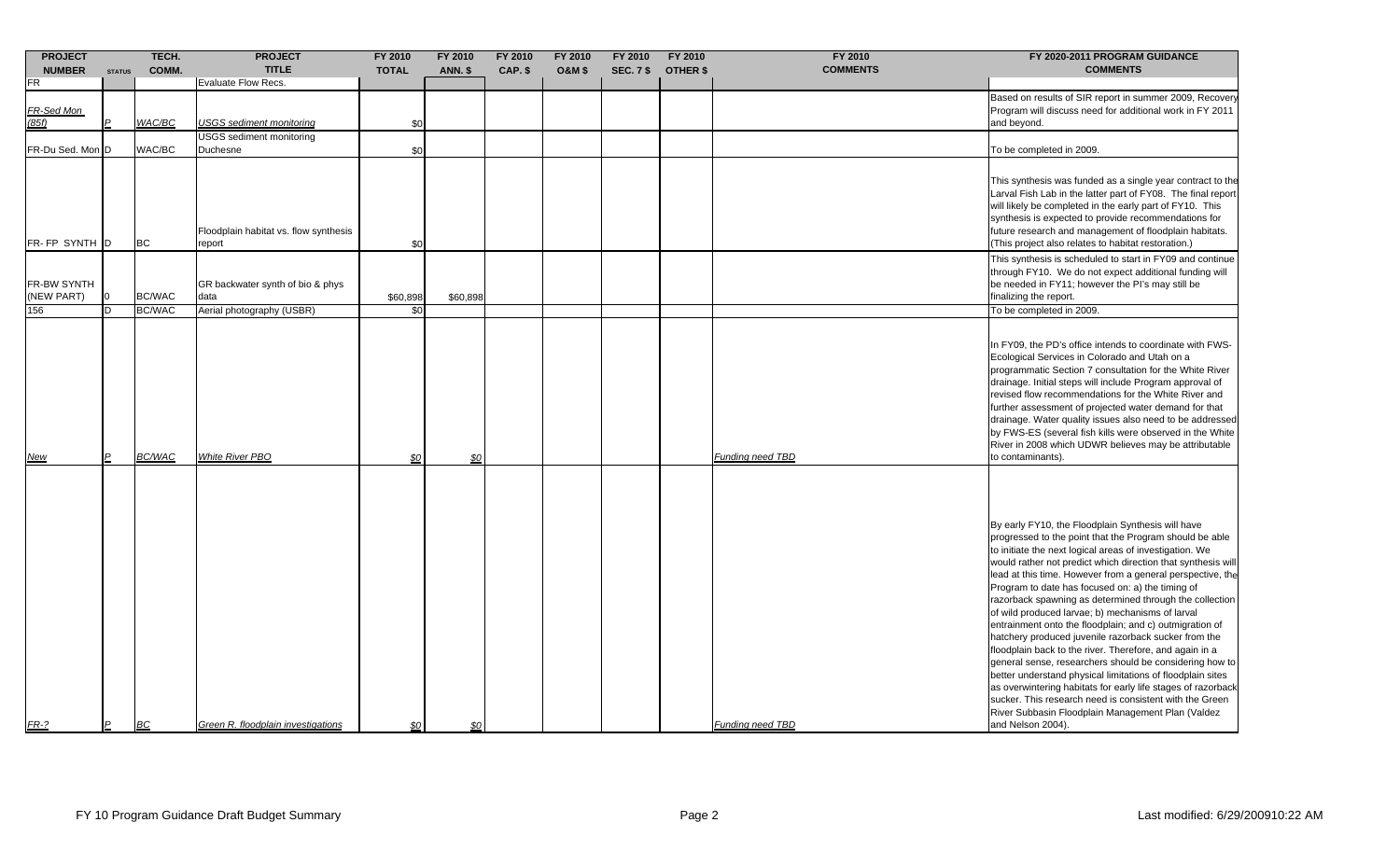| <b>PROJECT</b>                   |                | TECH.                   | <b>PROJECT</b>                                                        | FY 2010         | FY 2010        | FY 2010 | FY 2010           | FY 2010          | FY 2010         | FY 2010                 | FY 2020-2011 PROGRAM GUIDANCE                                                                                                                                                                                                                                                                                                                                                                                                                                                                                                                                                                                                                                                                                                                                                                                                                                                                                                                                                        |
|----------------------------------|----------------|-------------------------|-----------------------------------------------------------------------|-----------------|----------------|---------|-------------------|------------------|-----------------|-------------------------|--------------------------------------------------------------------------------------------------------------------------------------------------------------------------------------------------------------------------------------------------------------------------------------------------------------------------------------------------------------------------------------------------------------------------------------------------------------------------------------------------------------------------------------------------------------------------------------------------------------------------------------------------------------------------------------------------------------------------------------------------------------------------------------------------------------------------------------------------------------------------------------------------------------------------------------------------------------------------------------|
| <b>NUMBER</b>                    | <b>STATUS</b>  | COMM.                   | <b>TITLE</b>                                                          | <b>TOTAL</b>    | <b>ANN. \$</b> | CAP. \$ | <b>O&amp;M \$</b> | <b>SEC. 7 \$</b> | <b>OTHER \$</b> | <b>COMMENTS</b>         | <b>COMMENTS</b>                                                                                                                                                                                                                                                                                                                                                                                                                                                                                                                                                                                                                                                                                                                                                                                                                                                                                                                                                                      |
| FR                               |                |                         | <b>Evaluate Flow Recs.</b>                                            |                 |                |         |                   |                  |                 |                         |                                                                                                                                                                                                                                                                                                                                                                                                                                                                                                                                                                                                                                                                                                                                                                                                                                                                                                                                                                                      |
| FR-Sed Mon<br>(85f)              |                | WAC/BC                  | USGS sediment monitoring                                              | \$0             |                |         |                   |                  |                 |                         | Based on results of SIR report in summer 2009, Recovery<br>Program will discuss need for additional work in FY 2011<br>and beyond.                                                                                                                                                                                                                                                                                                                                                                                                                                                                                                                                                                                                                                                                                                                                                                                                                                                   |
| FR-Du Sed. Mon D                 |                | WAC/BC                  | JSGS sediment monitoring<br>Duchesne                                  | \$0             |                |         |                   |                  |                 |                         | To be completed in 2009.                                                                                                                                                                                                                                                                                                                                                                                                                                                                                                                                                                                                                                                                                                                                                                                                                                                                                                                                                             |
| FR-FP SYNTH                      | ID             | <b>BC</b>               | Floodplain habitat vs. flow synthesis<br>report                       | \$0             |                |         |                   |                  |                 |                         | This synthesis was funded as a single year contract to the<br>Larval Fish Lab in the latter part of FY08. The final report<br>will likely be completed in the early part of FY10. This<br>synthesis is expected to provide recommendations for<br>future research and management of floodplain habitats.<br>(This project also relates to habitat restoration.)                                                                                                                                                                                                                                                                                                                                                                                                                                                                                                                                                                                                                      |
| FR-BW SYNTH<br>(NEW PART)<br>156 |                | BC/WAC<br><b>BC/WAC</b> | GR backwater synth of bio & phys<br>data<br>Aerial photography (USBR) | \$60,898<br>\$0 | \$60,898       |         |                   |                  |                 |                         | This synthesis is scheduled to start in FY09 and continue<br>through FY10. We do not expect additional funding will<br>be needed in FY11; however the PI's may still be<br>finalizing the report.<br>To be completed in 2009.                                                                                                                                                                                                                                                                                                                                                                                                                                                                                                                                                                                                                                                                                                                                                        |
| <u>New</u>                       | $\mathsf{P}$   | <b>BC/WAC</b>           | <b>White River PBO</b>                                                | \$0             | \$0            |         |                   |                  |                 | Funding need TBD        | In FY09, the PD's office intends to coordinate with FWS-<br>Ecological Services in Colorado and Utah on a<br>programmatic Section 7 consultation for the White River<br>drainage. Initial steps will include Program approval of<br>revised flow recommendations for the White River and<br>further assessment of projected water demand for that<br>drainage. Water quality issues also need to be addressed<br>by FWS-ES (several fish kills were observed in the White<br>River in 2008 which UDWR believes may be attributable<br>to contaminants).                                                                                                                                                                                                                                                                                                                                                                                                                              |
| $FR-2$                           | $\overline{P}$ | <b>BC</b>               | Green R. floodplain investigations                                    | \$0             | \$0            |         |                   |                  |                 | <b>Funding need TBD</b> | By early FY10, the Floodplain Synthesis will have<br>progressed to the point that the Program should be able<br>to initiate the next logical areas of investigation. We<br>would rather not predict which direction that synthesis will<br>lead at this time. However from a general perspective, the<br>Program to date has focused on: a) the timing of<br>razorback spawning as determined through the collection<br>of wild produced larvae; b) mechanisms of larval<br>entrainment onto the floodplain; and c) outmigration of<br>hatchery produced juvenile razorback sucker from the<br>floodplain back to the river. Therefore, and again in a<br>general sense, researchers should be considering how to<br>better understand physical limitations of floodplain sites<br>as overwintering habitats for early life stages of razorback<br>sucker. This research need is consistent with the Green<br>River Subbasin Floodplain Management Plan (Valdez<br>and Nelson 2004). |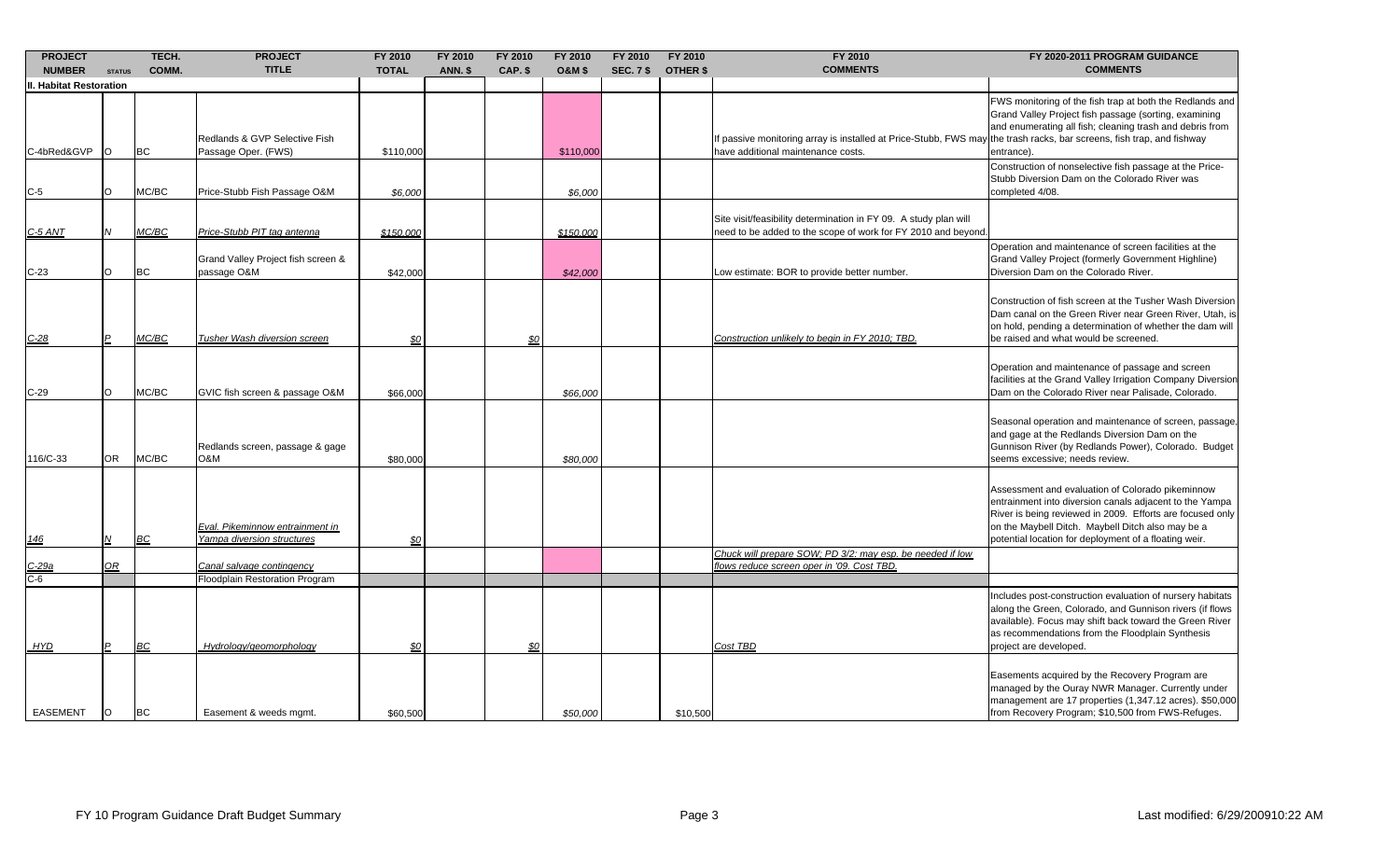| <b>PROJECT</b><br><b>NUMBER</b> |                | TECH.<br>COMM. | <b>PROJECT</b><br><b>TITLE</b>                                | <b>FY 2010</b><br><b>TOTAL</b> | FY 2010<br><b>ANN. \$</b> | <b>FY 2010</b><br>CAP. \$ | FY 2010<br><b>O&amp;M \$</b> | FY 2010<br><b>SEC. 7 \$</b> | FY 2010<br><b>OTHER \$</b> | FY 2010<br><b>COMMENTS</b>                                                                                                                                 | FY 2020-2011 PROGRAM GUIDANCE<br><b>COMMENTS</b>                                                                                                                                                                                                                                       |
|---------------------------------|----------------|----------------|---------------------------------------------------------------|--------------------------------|---------------------------|---------------------------|------------------------------|-----------------------------|----------------------------|------------------------------------------------------------------------------------------------------------------------------------------------------------|----------------------------------------------------------------------------------------------------------------------------------------------------------------------------------------------------------------------------------------------------------------------------------------|
| II. Habitat Restoration         | <b>STATUS</b>  |                |                                                               |                                |                           |                           |                              |                             |                            |                                                                                                                                                            |                                                                                                                                                                                                                                                                                        |
| C-4bRed&GVP                     | IO.            | <b>BC</b>      | Redlands & GVP Selective Fish<br>Passage Oper. (FWS)          | \$110,000                      |                           |                           | \$110,000                    |                             |                            | f passive monitoring array is installed at Price-Stubb, FWS may the trash racks, bar screens, fish trap, and fishway<br>have additional maintenance costs. | FWS monitoring of the fish trap at both the Redlands and<br>Grand Valley Project fish passage (sorting, examining<br>and enumerating all fish; cleaning trash and debris from<br>entrance).                                                                                            |
| $C-5$                           | O              | MC/BC          | Price-Stubb Fish Passage O&M                                  | \$6,000                        |                           |                           | \$6,000                      |                             |                            |                                                                                                                                                            | Construction of nonselective fish passage at the Price-<br>Stubb Diversion Dam on the Colorado River was<br>completed 4/08.                                                                                                                                                            |
| $C-5$ ANT                       | <b>N</b>       | MC/BC          | Price-Stubb PIT tag antenna                                   | \$150,000                      |                           |                           | \$150,000                    |                             |                            | Site visit/feasibility determination in FY 09. A study plan will<br>need to be added to the scope of work for FY 2010 and beyond.                          |                                                                                                                                                                                                                                                                                        |
| $C-23$                          | $\circ$        | <b>BC</b>      | Grand Valley Project fish screen &<br>passage O&M             | \$42,000                       |                           |                           | \$42,000                     |                             |                            | Low estimate: BOR to provide better number.                                                                                                                | Operation and maintenance of screen facilities at the<br>Grand Valley Project (formerly Government Highline)<br>Diversion Dam on the Colorado River.                                                                                                                                   |
| $C - 28$                        | $\overline{P}$ | MC/BC          | Tusher Wash diversion screen                                  | \$0                            |                           | \$0                       |                              |                             |                            | Construction unlikely to begin in FY 2010; TBD.                                                                                                            | Construction of fish screen at the Tusher Wash Diversion<br>Dam canal on the Green River near Green River, Utah, is<br>on hold, pending a determination of whether the dam will<br>be raised and what would be screened.                                                               |
| $C-29$                          | lO.            | MC/BC          | GVIC fish screen & passage O&M                                | \$66,000                       |                           |                           | \$66,000                     |                             |                            |                                                                                                                                                            | Operation and maintenance of passage and screen<br>facilities at the Grand Valley Irrigation Company Diversion<br>Dam on the Colorado River near Palisade, Colorado.                                                                                                                   |
| 116/C-33                        | OR.            | MC/BC          | Redlands screen, passage & gage<br>O&M                        | \$80,000                       |                           |                           | \$80,000                     |                             |                            |                                                                                                                                                            | Seasonal operation and maintenance of screen, passage,<br>and gage at the Redlands Diversion Dam on the<br>Gunnison River (by Redlands Power), Colorado. Budget<br>seems excessive; needs review.                                                                                      |
| 146                             | N              | BC             | Eval. Pikeminnow entrainment in<br>Yampa diversion structures | \$0                            |                           |                           |                              |                             |                            |                                                                                                                                                            | Assessment and evaluation of Colorado pikeminnow<br>entrainment into diversion canals adjacent to the Yampa<br>River is being reviewed in 2009. Efforts are focused only<br>on the Maybell Ditch. Maybell Ditch also may be a<br>potential location for deployment of a floating weir. |
| C-29a                           | $\Omega$       |                | Canal salvage contingency                                     |                                |                           |                           |                              |                             |                            | Chuck will prepare SOW; PD 3/2: may esp. be needed if low<br>flows reduce screen oper in '09. Cost TBD.                                                    |                                                                                                                                                                                                                                                                                        |
| $C-6$                           |                |                | Floodplain Restoration Program                                |                                |                           |                           |                              |                             |                            |                                                                                                                                                            |                                                                                                                                                                                                                                                                                        |
| <b>HYD</b>                      | $\mathsf{P}$   | BC             | Hydrology/geomorphology                                       | \$0                            |                           | \$0                       |                              |                             |                            | Cost TBD                                                                                                                                                   | Includes post-construction evaluation of nursery habitats<br>along the Green, Colorado, and Gunnison rivers (if flows<br>available). Focus may shift back toward the Green River<br>as recommendations from the Floodplain Synthesis<br>project are developed.                         |
| <b>EASEMENT</b>                 | IO.            | <b>BC</b>      | Easement & weeds mgmt.                                        | \$60,500                       |                           |                           | \$50,000                     |                             | \$10,500                   |                                                                                                                                                            | Easements acquired by the Recovery Program are<br>managed by the Ouray NWR Manager. Currently under<br>management are 17 properties (1,347.12 acres). \$50,000<br>from Recovery Program; \$10,500 from FWS-Refuges.                                                                    |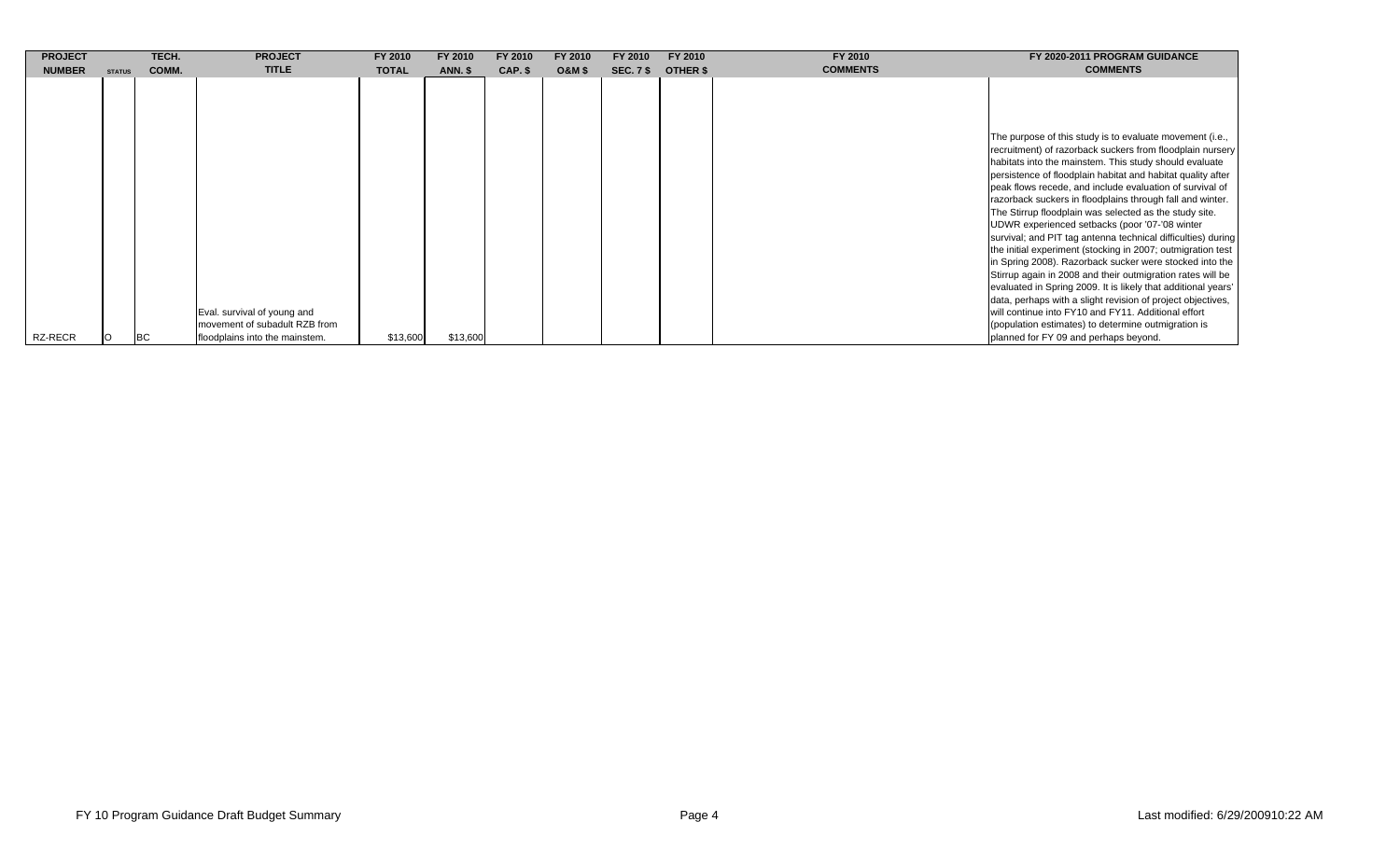| <b>PROJECT</b> |               | TECH.     | <b>PROJECT</b>                                                                                 | FY 2010      | FY 2010        | FY 2010 | FY 2010           | FY 2010          | FY 2010         | FY 2010         | FY 2020-2011 PROGRAM GUIDANCE                                                                                                                                                                                                                                                                                                                                                                                                                                                                                                                                                                                                                                                                                                                                                                                                                                                                                                                                                                                                      |
|----------------|---------------|-----------|------------------------------------------------------------------------------------------------|--------------|----------------|---------|-------------------|------------------|-----------------|-----------------|------------------------------------------------------------------------------------------------------------------------------------------------------------------------------------------------------------------------------------------------------------------------------------------------------------------------------------------------------------------------------------------------------------------------------------------------------------------------------------------------------------------------------------------------------------------------------------------------------------------------------------------------------------------------------------------------------------------------------------------------------------------------------------------------------------------------------------------------------------------------------------------------------------------------------------------------------------------------------------------------------------------------------------|
| <b>NUMBER</b>  | <b>STATUS</b> | COMM.     | <b>TITLE</b>                                                                                   | <b>TOTAL</b> | <b>ANN. \$</b> | CAP. \$ | <b>O&amp;M \$</b> | <b>SEC. 7 \$</b> | <b>OTHER \$</b> | <b>COMMENTS</b> | <b>COMMENTS</b>                                                                                                                                                                                                                                                                                                                                                                                                                                                                                                                                                                                                                                                                                                                                                                                                                                                                                                                                                                                                                    |
| RZ-RECR        |               | <b>BC</b> | Eval. survival of young and<br>movement of subadult RZB from<br>floodplains into the mainstem. | \$13,600     | \$13,600       |         |                   |                  |                 |                 | The purpose of this study is to evaluate movement (i.e.,<br>recruitment) of razorback suckers from floodplain nursery<br>habitats into the mainstem. This study should evaluate<br>persistence of floodplain habitat and habitat quality after<br>peak flows recede, and include evaluation of survival of<br>razorback suckers in floodplains through fall and winter.<br>The Stirrup floodplain was selected as the study site.<br>UDWR experienced setbacks (poor '07-'08 winter<br>survival; and PIT tag antenna technical difficulties) during<br>the initial experiment (stocking in 2007; outmigration test<br>in Spring 2008). Razorback sucker were stocked into the<br>Stirrup again in 2008 and their outmigration rates will be<br>evaluated in Spring 2009. It is likely that additional years'<br>data, perhaps with a slight revision of project objectives,<br>will continue into FY10 and FY11. Additional effort<br>(population estimates) to determine outmigration is<br>planned for FY 09 and perhaps beyond. |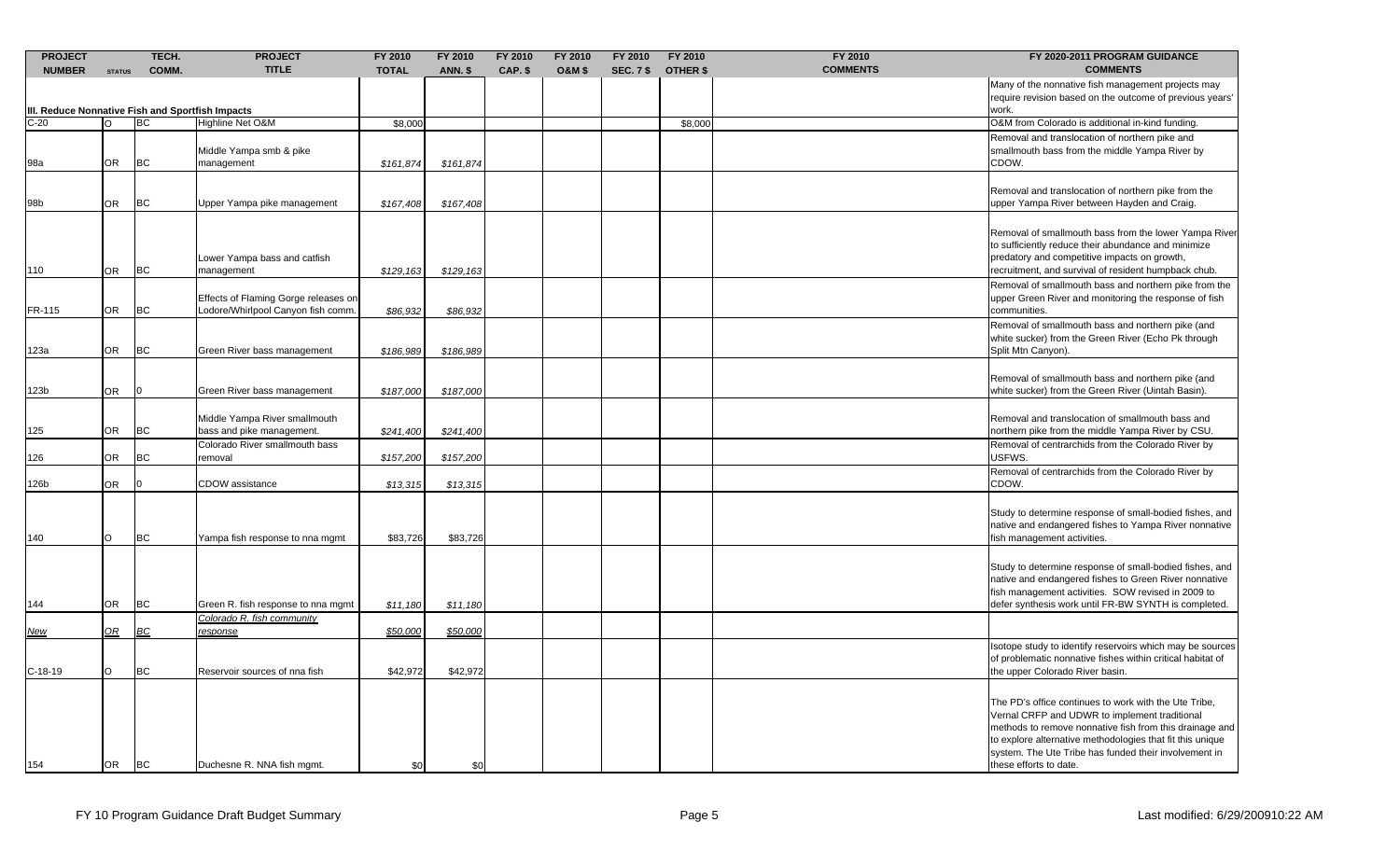| <b>TITLE</b><br>CAP. \$<br><b>O&amp;M \$</b><br><b>SEC. 7 \$</b><br><b>OTHER \$</b><br><b>COMMENTS</b><br><b>COMMENTS</b><br><b>NUMBER</b><br>COMM.<br><b>TOTAL</b><br><b>ANN. \$</b><br><b>STATUS</b><br>Many of the nonnative fish management projects may<br>require revision based on the outcome of previous years'<br>III. Reduce Nonnative Fish and Sportfish Impacts<br>work.<br>$C-20$<br><b>BC</b><br>Highline Net O&M<br>\$8,000<br>\$8,000<br>O&M from Colorado is additional in-kind funding.<br>Removal and translocation of northern pike and<br>Middle Yampa smb & pike<br>smallmouth bass from the middle Yampa River by<br><b>BC</b><br>OR<br>management<br>CDOW.<br>98a<br>\$161,874<br>\$161,874<br>Removal and translocation of northern pike from the<br><b>BC</b><br>upper Yampa River between Hayden and Craig.<br>98b<br><b>OR</b><br>Upper Yampa pike management<br>\$167,408<br>\$167,408<br>Removal of smallmouth bass from the lower Yampa River<br>to sufficiently reduce their abundance and minimize<br>Lower Yampa bass and catfish<br>predatory and competitive impacts on growth,<br><b>BC</b><br>recruitment, and survival of resident humpback chub.<br>110<br><b>OR</b><br>management<br>\$129,163<br>\$129,163<br>Removal of smallmouth bass and northern pike from the<br>Effects of Flaming Gorge releases on<br>upper Green River and monitoring the response of fish<br><b>BC</b><br><b>OR</b><br>Lodore/Whirlpool Canyon fish comm.<br>FR-115<br>\$86,932<br>\$86,932<br>communities.<br>Removal of smallmouth bass and northern pike (and<br>white sucker) from the Green River (Echo Pk through<br><b>OR</b><br><b>BC</b><br>123a<br>Green River bass management<br>\$186,989<br>\$186,989<br>Split Mtn Canyon).<br>Removal of smallmouth bass and northern pike (and<br>OR<br>white sucker) from the Green River (Uintah Basin).<br>123b<br>Green River bass management<br>\$187,000<br>\$187,000<br>Middle Yampa River smallmouth<br>Removal and translocation of smallmouth bass and<br><b>OR</b><br><b>BC</b><br>bass and pike management.<br>northern pike from the middle Yampa River by CSU.<br>125<br>\$241,400<br>\$241,400<br>Colorado River smallmouth bass<br>Removal of centrarchids from the Colorado River by<br><b>OR</b><br><b>BC</b><br>126<br>USFWS.<br>removal<br>\$157,200<br>\$157,200<br>Removal of centrarchids from the Colorado River by<br>126b<br>OR.<br>CDOW assistance<br>CDOW.<br>\$13,315<br>\$13,315<br>Study to determine response of small-bodied fishes, and<br>native and endangered fishes to Yampa River nonnative<br>O<br><b>BC</b><br>fish management activities.<br>140<br>Yampa fish response to nna mgmt<br>\$83,726<br>\$83,726<br>Study to determine response of small-bodied fishes, and<br>native and endangered fishes to Green River nonnative<br>fish management activities. SOW revised in 2009 to<br>OR<br>BC<br>defer synthesis work until FR-BW SYNTH is completed.<br>144<br>Green R. fish response to nna mgmt<br>\$11,180<br>\$11,180<br>Colorado R. fish community<br>$\mathcal{Q}R$<br><b>BC</b><br><u>response</u><br>\$50,000<br>\$50,000<br><u>New</u><br>sotope study to identify reservoirs which may be sources<br>of problematic nonnative fishes within critical habitat of<br><b>BC</b><br>the upper Colorado River basin.<br>$C-18-19$<br>$\circ$<br>Reservoir sources of nna fish<br>\$42,972<br>\$42,972<br>The PD's office continues to work with the Ute Tribe,<br>Vernal CRFP and UDWR to implement traditional<br>to explore alternative methodologies that fit this unique<br>system. The Ute Tribe has funded their involvement in<br><b>BC</b><br><b>OR</b><br>Duchesne R. NNA fish mgmt.<br>these efforts to date.<br>154<br>\$0<br>\$0 | <b>PROJECT</b> | TECH. | <b>PROJECT</b> | FY 2010 | FY 2010 | FY 2010 | FY 2010 | FY 2010 | FY 2010 | FY 2010 | FY 2020-2011 PROGRAM GUIDANCE |
|-----------------------------------------------------------------------------------------------------------------------------------------------------------------------------------------------------------------------------------------------------------------------------------------------------------------------------------------------------------------------------------------------------------------------------------------------------------------------------------------------------------------------------------------------------------------------------------------------------------------------------------------------------------------------------------------------------------------------------------------------------------------------------------------------------------------------------------------------------------------------------------------------------------------------------------------------------------------------------------------------------------------------------------------------------------------------------------------------------------------------------------------------------------------------------------------------------------------------------------------------------------------------------------------------------------------------------------------------------------------------------------------------------------------------------------------------------------------------------------------------------------------------------------------------------------------------------------------------------------------------------------------------------------------------------------------------------------------------------------------------------------------------------------------------------------------------------------------------------------------------------------------------------------------------------------------------------------------------------------------------------------------------------------------------------------------------------------------------------------------------------------------------------------------------------------------------------------------------------------------------------------------------------------------------------------------------------------------------------------------------------------------------------------------------------------------------------------------------------------------------------------------------------------------------------------------------------------------------------------------------------------------------------------------------------------------------------------------------------------------------------------------------------------------------------------------------------------------------------------------------------------------------------------------------------------------------------------------------------------------------------------------------------------------------------------------------------------------------------------------------------------------------------------------------------------------------------------------------------------------------------------------------------------------------------------------------------------------------------------------------------------------------------------------------------------------------------------------------------------------------------------------------------------------------------------------------------------------------------------------------------------------------------------------------------------------------------------------------------------------------------------------------|----------------|-------|----------------|---------|---------|---------|---------|---------|---------|---------|-------------------------------|
|                                                                                                                                                                                                                                                                                                                                                                                                                                                                                                                                                                                                                                                                                                                                                                                                                                                                                                                                                                                                                                                                                                                                                                                                                                                                                                                                                                                                                                                                                                                                                                                                                                                                                                                                                                                                                                                                                                                                                                                                                                                                                                                                                                                                                                                                                                                                                                                                                                                                                                                                                                                                                                                                                                                                                                                                                                                                                                                                                                                                                                                                                                                                                                                                                                                                                                                                                                                                                                                                                                                                                                                                                                                                                                                                                                       |                |       |                |         |         |         |         |         |         |         |                               |
|                                                                                                                                                                                                                                                                                                                                                                                                                                                                                                                                                                                                                                                                                                                                                                                                                                                                                                                                                                                                                                                                                                                                                                                                                                                                                                                                                                                                                                                                                                                                                                                                                                                                                                                                                                                                                                                                                                                                                                                                                                                                                                                                                                                                                                                                                                                                                                                                                                                                                                                                                                                                                                                                                                                                                                                                                                                                                                                                                                                                                                                                                                                                                                                                                                                                                                                                                                                                                                                                                                                                                                                                                                                                                                                                                                       |                |       |                |         |         |         |         |         |         |         |                               |
|                                                                                                                                                                                                                                                                                                                                                                                                                                                                                                                                                                                                                                                                                                                                                                                                                                                                                                                                                                                                                                                                                                                                                                                                                                                                                                                                                                                                                                                                                                                                                                                                                                                                                                                                                                                                                                                                                                                                                                                                                                                                                                                                                                                                                                                                                                                                                                                                                                                                                                                                                                                                                                                                                                                                                                                                                                                                                                                                                                                                                                                                                                                                                                                                                                                                                                                                                                                                                                                                                                                                                                                                                                                                                                                                                                       |                |       |                |         |         |         |         |         |         |         |                               |
|                                                                                                                                                                                                                                                                                                                                                                                                                                                                                                                                                                                                                                                                                                                                                                                                                                                                                                                                                                                                                                                                                                                                                                                                                                                                                                                                                                                                                                                                                                                                                                                                                                                                                                                                                                                                                                                                                                                                                                                                                                                                                                                                                                                                                                                                                                                                                                                                                                                                                                                                                                                                                                                                                                                                                                                                                                                                                                                                                                                                                                                                                                                                                                                                                                                                                                                                                                                                                                                                                                                                                                                                                                                                                                                                                                       |                |       |                |         |         |         |         |         |         |         |                               |
|                                                                                                                                                                                                                                                                                                                                                                                                                                                                                                                                                                                                                                                                                                                                                                                                                                                                                                                                                                                                                                                                                                                                                                                                                                                                                                                                                                                                                                                                                                                                                                                                                                                                                                                                                                                                                                                                                                                                                                                                                                                                                                                                                                                                                                                                                                                                                                                                                                                                                                                                                                                                                                                                                                                                                                                                                                                                                                                                                                                                                                                                                                                                                                                                                                                                                                                                                                                                                                                                                                                                                                                                                                                                                                                                                                       |                |       |                |         |         |         |         |         |         |         |                               |
|                                                                                                                                                                                                                                                                                                                                                                                                                                                                                                                                                                                                                                                                                                                                                                                                                                                                                                                                                                                                                                                                                                                                                                                                                                                                                                                                                                                                                                                                                                                                                                                                                                                                                                                                                                                                                                                                                                                                                                                                                                                                                                                                                                                                                                                                                                                                                                                                                                                                                                                                                                                                                                                                                                                                                                                                                                                                                                                                                                                                                                                                                                                                                                                                                                                                                                                                                                                                                                                                                                                                                                                                                                                                                                                                                                       |                |       |                |         |         |         |         |         |         |         |                               |
|                                                                                                                                                                                                                                                                                                                                                                                                                                                                                                                                                                                                                                                                                                                                                                                                                                                                                                                                                                                                                                                                                                                                                                                                                                                                                                                                                                                                                                                                                                                                                                                                                                                                                                                                                                                                                                                                                                                                                                                                                                                                                                                                                                                                                                                                                                                                                                                                                                                                                                                                                                                                                                                                                                                                                                                                                                                                                                                                                                                                                                                                                                                                                                                                                                                                                                                                                                                                                                                                                                                                                                                                                                                                                                                                                                       |                |       |                |         |         |         |         |         |         |         |                               |
|                                                                                                                                                                                                                                                                                                                                                                                                                                                                                                                                                                                                                                                                                                                                                                                                                                                                                                                                                                                                                                                                                                                                                                                                                                                                                                                                                                                                                                                                                                                                                                                                                                                                                                                                                                                                                                                                                                                                                                                                                                                                                                                                                                                                                                                                                                                                                                                                                                                                                                                                                                                                                                                                                                                                                                                                                                                                                                                                                                                                                                                                                                                                                                                                                                                                                                                                                                                                                                                                                                                                                                                                                                                                                                                                                                       |                |       |                |         |         |         |         |         |         |         |                               |
|                                                                                                                                                                                                                                                                                                                                                                                                                                                                                                                                                                                                                                                                                                                                                                                                                                                                                                                                                                                                                                                                                                                                                                                                                                                                                                                                                                                                                                                                                                                                                                                                                                                                                                                                                                                                                                                                                                                                                                                                                                                                                                                                                                                                                                                                                                                                                                                                                                                                                                                                                                                                                                                                                                                                                                                                                                                                                                                                                                                                                                                                                                                                                                                                                                                                                                                                                                                                                                                                                                                                                                                                                                                                                                                                                                       |                |       |                |         |         |         |         |         |         |         |                               |
|                                                                                                                                                                                                                                                                                                                                                                                                                                                                                                                                                                                                                                                                                                                                                                                                                                                                                                                                                                                                                                                                                                                                                                                                                                                                                                                                                                                                                                                                                                                                                                                                                                                                                                                                                                                                                                                                                                                                                                                                                                                                                                                                                                                                                                                                                                                                                                                                                                                                                                                                                                                                                                                                                                                                                                                                                                                                                                                                                                                                                                                                                                                                                                                                                                                                                                                                                                                                                                                                                                                                                                                                                                                                                                                                                                       |                |       |                |         |         |         |         |         |         |         |                               |
|                                                                                                                                                                                                                                                                                                                                                                                                                                                                                                                                                                                                                                                                                                                                                                                                                                                                                                                                                                                                                                                                                                                                                                                                                                                                                                                                                                                                                                                                                                                                                                                                                                                                                                                                                                                                                                                                                                                                                                                                                                                                                                                                                                                                                                                                                                                                                                                                                                                                                                                                                                                                                                                                                                                                                                                                                                                                                                                                                                                                                                                                                                                                                                                                                                                                                                                                                                                                                                                                                                                                                                                                                                                                                                                                                                       |                |       |                |         |         |         |         |         |         |         |                               |
|                                                                                                                                                                                                                                                                                                                                                                                                                                                                                                                                                                                                                                                                                                                                                                                                                                                                                                                                                                                                                                                                                                                                                                                                                                                                                                                                                                                                                                                                                                                                                                                                                                                                                                                                                                                                                                                                                                                                                                                                                                                                                                                                                                                                                                                                                                                                                                                                                                                                                                                                                                                                                                                                                                                                                                                                                                                                                                                                                                                                                                                                                                                                                                                                                                                                                                                                                                                                                                                                                                                                                                                                                                                                                                                                                                       |                |       |                |         |         |         |         |         |         |         |                               |
|                                                                                                                                                                                                                                                                                                                                                                                                                                                                                                                                                                                                                                                                                                                                                                                                                                                                                                                                                                                                                                                                                                                                                                                                                                                                                                                                                                                                                                                                                                                                                                                                                                                                                                                                                                                                                                                                                                                                                                                                                                                                                                                                                                                                                                                                                                                                                                                                                                                                                                                                                                                                                                                                                                                                                                                                                                                                                                                                                                                                                                                                                                                                                                                                                                                                                                                                                                                                                                                                                                                                                                                                                                                                                                                                                                       |                |       |                |         |         |         |         |         |         |         |                               |
|                                                                                                                                                                                                                                                                                                                                                                                                                                                                                                                                                                                                                                                                                                                                                                                                                                                                                                                                                                                                                                                                                                                                                                                                                                                                                                                                                                                                                                                                                                                                                                                                                                                                                                                                                                                                                                                                                                                                                                                                                                                                                                                                                                                                                                                                                                                                                                                                                                                                                                                                                                                                                                                                                                                                                                                                                                                                                                                                                                                                                                                                                                                                                                                                                                                                                                                                                                                                                                                                                                                                                                                                                                                                                                                                                                       |                |       |                |         |         |         |         |         |         |         |                               |
|                                                                                                                                                                                                                                                                                                                                                                                                                                                                                                                                                                                                                                                                                                                                                                                                                                                                                                                                                                                                                                                                                                                                                                                                                                                                                                                                                                                                                                                                                                                                                                                                                                                                                                                                                                                                                                                                                                                                                                                                                                                                                                                                                                                                                                                                                                                                                                                                                                                                                                                                                                                                                                                                                                                                                                                                                                                                                                                                                                                                                                                                                                                                                                                                                                                                                                                                                                                                                                                                                                                                                                                                                                                                                                                                                                       |                |       |                |         |         |         |         |         |         |         |                               |
|                                                                                                                                                                                                                                                                                                                                                                                                                                                                                                                                                                                                                                                                                                                                                                                                                                                                                                                                                                                                                                                                                                                                                                                                                                                                                                                                                                                                                                                                                                                                                                                                                                                                                                                                                                                                                                                                                                                                                                                                                                                                                                                                                                                                                                                                                                                                                                                                                                                                                                                                                                                                                                                                                                                                                                                                                                                                                                                                                                                                                                                                                                                                                                                                                                                                                                                                                                                                                                                                                                                                                                                                                                                                                                                                                                       |                |       |                |         |         |         |         |         |         |         |                               |
|                                                                                                                                                                                                                                                                                                                                                                                                                                                                                                                                                                                                                                                                                                                                                                                                                                                                                                                                                                                                                                                                                                                                                                                                                                                                                                                                                                                                                                                                                                                                                                                                                                                                                                                                                                                                                                                                                                                                                                                                                                                                                                                                                                                                                                                                                                                                                                                                                                                                                                                                                                                                                                                                                                                                                                                                                                                                                                                                                                                                                                                                                                                                                                                                                                                                                                                                                                                                                                                                                                                                                                                                                                                                                                                                                                       |                |       |                |         |         |         |         |         |         |         |                               |
|                                                                                                                                                                                                                                                                                                                                                                                                                                                                                                                                                                                                                                                                                                                                                                                                                                                                                                                                                                                                                                                                                                                                                                                                                                                                                                                                                                                                                                                                                                                                                                                                                                                                                                                                                                                                                                                                                                                                                                                                                                                                                                                                                                                                                                                                                                                                                                                                                                                                                                                                                                                                                                                                                                                                                                                                                                                                                                                                                                                                                                                                                                                                                                                                                                                                                                                                                                                                                                                                                                                                                                                                                                                                                                                                                                       |                |       |                |         |         |         |         |         |         |         |                               |
|                                                                                                                                                                                                                                                                                                                                                                                                                                                                                                                                                                                                                                                                                                                                                                                                                                                                                                                                                                                                                                                                                                                                                                                                                                                                                                                                                                                                                                                                                                                                                                                                                                                                                                                                                                                                                                                                                                                                                                                                                                                                                                                                                                                                                                                                                                                                                                                                                                                                                                                                                                                                                                                                                                                                                                                                                                                                                                                                                                                                                                                                                                                                                                                                                                                                                                                                                                                                                                                                                                                                                                                                                                                                                                                                                                       |                |       |                |         |         |         |         |         |         |         |                               |
|                                                                                                                                                                                                                                                                                                                                                                                                                                                                                                                                                                                                                                                                                                                                                                                                                                                                                                                                                                                                                                                                                                                                                                                                                                                                                                                                                                                                                                                                                                                                                                                                                                                                                                                                                                                                                                                                                                                                                                                                                                                                                                                                                                                                                                                                                                                                                                                                                                                                                                                                                                                                                                                                                                                                                                                                                                                                                                                                                                                                                                                                                                                                                                                                                                                                                                                                                                                                                                                                                                                                                                                                                                                                                                                                                                       |                |       |                |         |         |         |         |         |         |         |                               |
|                                                                                                                                                                                                                                                                                                                                                                                                                                                                                                                                                                                                                                                                                                                                                                                                                                                                                                                                                                                                                                                                                                                                                                                                                                                                                                                                                                                                                                                                                                                                                                                                                                                                                                                                                                                                                                                                                                                                                                                                                                                                                                                                                                                                                                                                                                                                                                                                                                                                                                                                                                                                                                                                                                                                                                                                                                                                                                                                                                                                                                                                                                                                                                                                                                                                                                                                                                                                                                                                                                                                                                                                                                                                                                                                                                       |                |       |                |         |         |         |         |         |         |         |                               |
|                                                                                                                                                                                                                                                                                                                                                                                                                                                                                                                                                                                                                                                                                                                                                                                                                                                                                                                                                                                                                                                                                                                                                                                                                                                                                                                                                                                                                                                                                                                                                                                                                                                                                                                                                                                                                                                                                                                                                                                                                                                                                                                                                                                                                                                                                                                                                                                                                                                                                                                                                                                                                                                                                                                                                                                                                                                                                                                                                                                                                                                                                                                                                                                                                                                                                                                                                                                                                                                                                                                                                                                                                                                                                                                                                                       |                |       |                |         |         |         |         |         |         |         |                               |
|                                                                                                                                                                                                                                                                                                                                                                                                                                                                                                                                                                                                                                                                                                                                                                                                                                                                                                                                                                                                                                                                                                                                                                                                                                                                                                                                                                                                                                                                                                                                                                                                                                                                                                                                                                                                                                                                                                                                                                                                                                                                                                                                                                                                                                                                                                                                                                                                                                                                                                                                                                                                                                                                                                                                                                                                                                                                                                                                                                                                                                                                                                                                                                                                                                                                                                                                                                                                                                                                                                                                                                                                                                                                                                                                                                       |                |       |                |         |         |         |         |         |         |         |                               |
|                                                                                                                                                                                                                                                                                                                                                                                                                                                                                                                                                                                                                                                                                                                                                                                                                                                                                                                                                                                                                                                                                                                                                                                                                                                                                                                                                                                                                                                                                                                                                                                                                                                                                                                                                                                                                                                                                                                                                                                                                                                                                                                                                                                                                                                                                                                                                                                                                                                                                                                                                                                                                                                                                                                                                                                                                                                                                                                                                                                                                                                                                                                                                                                                                                                                                                                                                                                                                                                                                                                                                                                                                                                                                                                                                                       |                |       |                |         |         |         |         |         |         |         |                               |
|                                                                                                                                                                                                                                                                                                                                                                                                                                                                                                                                                                                                                                                                                                                                                                                                                                                                                                                                                                                                                                                                                                                                                                                                                                                                                                                                                                                                                                                                                                                                                                                                                                                                                                                                                                                                                                                                                                                                                                                                                                                                                                                                                                                                                                                                                                                                                                                                                                                                                                                                                                                                                                                                                                                                                                                                                                                                                                                                                                                                                                                                                                                                                                                                                                                                                                                                                                                                                                                                                                                                                                                                                                                                                                                                                                       |                |       |                |         |         |         |         |         |         |         |                               |
|                                                                                                                                                                                                                                                                                                                                                                                                                                                                                                                                                                                                                                                                                                                                                                                                                                                                                                                                                                                                                                                                                                                                                                                                                                                                                                                                                                                                                                                                                                                                                                                                                                                                                                                                                                                                                                                                                                                                                                                                                                                                                                                                                                                                                                                                                                                                                                                                                                                                                                                                                                                                                                                                                                                                                                                                                                                                                                                                                                                                                                                                                                                                                                                                                                                                                                                                                                                                                                                                                                                                                                                                                                                                                                                                                                       |                |       |                |         |         |         |         |         |         |         |                               |
|                                                                                                                                                                                                                                                                                                                                                                                                                                                                                                                                                                                                                                                                                                                                                                                                                                                                                                                                                                                                                                                                                                                                                                                                                                                                                                                                                                                                                                                                                                                                                                                                                                                                                                                                                                                                                                                                                                                                                                                                                                                                                                                                                                                                                                                                                                                                                                                                                                                                                                                                                                                                                                                                                                                                                                                                                                                                                                                                                                                                                                                                                                                                                                                                                                                                                                                                                                                                                                                                                                                                                                                                                                                                                                                                                                       |                |       |                |         |         |         |         |         |         |         |                               |
|                                                                                                                                                                                                                                                                                                                                                                                                                                                                                                                                                                                                                                                                                                                                                                                                                                                                                                                                                                                                                                                                                                                                                                                                                                                                                                                                                                                                                                                                                                                                                                                                                                                                                                                                                                                                                                                                                                                                                                                                                                                                                                                                                                                                                                                                                                                                                                                                                                                                                                                                                                                                                                                                                                                                                                                                                                                                                                                                                                                                                                                                                                                                                                                                                                                                                                                                                                                                                                                                                                                                                                                                                                                                                                                                                                       |                |       |                |         |         |         |         |         |         |         |                               |
|                                                                                                                                                                                                                                                                                                                                                                                                                                                                                                                                                                                                                                                                                                                                                                                                                                                                                                                                                                                                                                                                                                                                                                                                                                                                                                                                                                                                                                                                                                                                                                                                                                                                                                                                                                                                                                                                                                                                                                                                                                                                                                                                                                                                                                                                                                                                                                                                                                                                                                                                                                                                                                                                                                                                                                                                                                                                                                                                                                                                                                                                                                                                                                                                                                                                                                                                                                                                                                                                                                                                                                                                                                                                                                                                                                       |                |       |                |         |         |         |         |         |         |         |                               |
|                                                                                                                                                                                                                                                                                                                                                                                                                                                                                                                                                                                                                                                                                                                                                                                                                                                                                                                                                                                                                                                                                                                                                                                                                                                                                                                                                                                                                                                                                                                                                                                                                                                                                                                                                                                                                                                                                                                                                                                                                                                                                                                                                                                                                                                                                                                                                                                                                                                                                                                                                                                                                                                                                                                                                                                                                                                                                                                                                                                                                                                                                                                                                                                                                                                                                                                                                                                                                                                                                                                                                                                                                                                                                                                                                                       |                |       |                |         |         |         |         |         |         |         |                               |
|                                                                                                                                                                                                                                                                                                                                                                                                                                                                                                                                                                                                                                                                                                                                                                                                                                                                                                                                                                                                                                                                                                                                                                                                                                                                                                                                                                                                                                                                                                                                                                                                                                                                                                                                                                                                                                                                                                                                                                                                                                                                                                                                                                                                                                                                                                                                                                                                                                                                                                                                                                                                                                                                                                                                                                                                                                                                                                                                                                                                                                                                                                                                                                                                                                                                                                                                                                                                                                                                                                                                                                                                                                                                                                                                                                       |                |       |                |         |         |         |         |         |         |         |                               |
|                                                                                                                                                                                                                                                                                                                                                                                                                                                                                                                                                                                                                                                                                                                                                                                                                                                                                                                                                                                                                                                                                                                                                                                                                                                                                                                                                                                                                                                                                                                                                                                                                                                                                                                                                                                                                                                                                                                                                                                                                                                                                                                                                                                                                                                                                                                                                                                                                                                                                                                                                                                                                                                                                                                                                                                                                                                                                                                                                                                                                                                                                                                                                                                                                                                                                                                                                                                                                                                                                                                                                                                                                                                                                                                                                                       |                |       |                |         |         |         |         |         |         |         |                               |
|                                                                                                                                                                                                                                                                                                                                                                                                                                                                                                                                                                                                                                                                                                                                                                                                                                                                                                                                                                                                                                                                                                                                                                                                                                                                                                                                                                                                                                                                                                                                                                                                                                                                                                                                                                                                                                                                                                                                                                                                                                                                                                                                                                                                                                                                                                                                                                                                                                                                                                                                                                                                                                                                                                                                                                                                                                                                                                                                                                                                                                                                                                                                                                                                                                                                                                                                                                                                                                                                                                                                                                                                                                                                                                                                                                       |                |       |                |         |         |         |         |         |         |         |                               |
|                                                                                                                                                                                                                                                                                                                                                                                                                                                                                                                                                                                                                                                                                                                                                                                                                                                                                                                                                                                                                                                                                                                                                                                                                                                                                                                                                                                                                                                                                                                                                                                                                                                                                                                                                                                                                                                                                                                                                                                                                                                                                                                                                                                                                                                                                                                                                                                                                                                                                                                                                                                                                                                                                                                                                                                                                                                                                                                                                                                                                                                                                                                                                                                                                                                                                                                                                                                                                                                                                                                                                                                                                                                                                                                                                                       |                |       |                |         |         |         |         |         |         |         |                               |
|                                                                                                                                                                                                                                                                                                                                                                                                                                                                                                                                                                                                                                                                                                                                                                                                                                                                                                                                                                                                                                                                                                                                                                                                                                                                                                                                                                                                                                                                                                                                                                                                                                                                                                                                                                                                                                                                                                                                                                                                                                                                                                                                                                                                                                                                                                                                                                                                                                                                                                                                                                                                                                                                                                                                                                                                                                                                                                                                                                                                                                                                                                                                                                                                                                                                                                                                                                                                                                                                                                                                                                                                                                                                                                                                                                       |                |       |                |         |         |         |         |         |         |         |                               |
|                                                                                                                                                                                                                                                                                                                                                                                                                                                                                                                                                                                                                                                                                                                                                                                                                                                                                                                                                                                                                                                                                                                                                                                                                                                                                                                                                                                                                                                                                                                                                                                                                                                                                                                                                                                                                                                                                                                                                                                                                                                                                                                                                                                                                                                                                                                                                                                                                                                                                                                                                                                                                                                                                                                                                                                                                                                                                                                                                                                                                                                                                                                                                                                                                                                                                                                                                                                                                                                                                                                                                                                                                                                                                                                                                                       |                |       |                |         |         |         |         |         |         |         |                               |
|                                                                                                                                                                                                                                                                                                                                                                                                                                                                                                                                                                                                                                                                                                                                                                                                                                                                                                                                                                                                                                                                                                                                                                                                                                                                                                                                                                                                                                                                                                                                                                                                                                                                                                                                                                                                                                                                                                                                                                                                                                                                                                                                                                                                                                                                                                                                                                                                                                                                                                                                                                                                                                                                                                                                                                                                                                                                                                                                                                                                                                                                                                                                                                                                                                                                                                                                                                                                                                                                                                                                                                                                                                                                                                                                                                       |                |       |                |         |         |         |         |         |         |         |                               |
|                                                                                                                                                                                                                                                                                                                                                                                                                                                                                                                                                                                                                                                                                                                                                                                                                                                                                                                                                                                                                                                                                                                                                                                                                                                                                                                                                                                                                                                                                                                                                                                                                                                                                                                                                                                                                                                                                                                                                                                                                                                                                                                                                                                                                                                                                                                                                                                                                                                                                                                                                                                                                                                                                                                                                                                                                                                                                                                                                                                                                                                                                                                                                                                                                                                                                                                                                                                                                                                                                                                                                                                                                                                                                                                                                                       |                |       |                |         |         |         |         |         |         |         |                               |
|                                                                                                                                                                                                                                                                                                                                                                                                                                                                                                                                                                                                                                                                                                                                                                                                                                                                                                                                                                                                                                                                                                                                                                                                                                                                                                                                                                                                                                                                                                                                                                                                                                                                                                                                                                                                                                                                                                                                                                                                                                                                                                                                                                                                                                                                                                                                                                                                                                                                                                                                                                                                                                                                                                                                                                                                                                                                                                                                                                                                                                                                                                                                                                                                                                                                                                                                                                                                                                                                                                                                                                                                                                                                                                                                                                       |                |       |                |         |         |         |         |         |         |         |                               |
|                                                                                                                                                                                                                                                                                                                                                                                                                                                                                                                                                                                                                                                                                                                                                                                                                                                                                                                                                                                                                                                                                                                                                                                                                                                                                                                                                                                                                                                                                                                                                                                                                                                                                                                                                                                                                                                                                                                                                                                                                                                                                                                                                                                                                                                                                                                                                                                                                                                                                                                                                                                                                                                                                                                                                                                                                                                                                                                                                                                                                                                                                                                                                                                                                                                                                                                                                                                                                                                                                                                                                                                                                                                                                                                                                                       |                |       |                |         |         |         |         |         |         |         |                               |
| methods to remove nonnative fish from this drainage and                                                                                                                                                                                                                                                                                                                                                                                                                                                                                                                                                                                                                                                                                                                                                                                                                                                                                                                                                                                                                                                                                                                                                                                                                                                                                                                                                                                                                                                                                                                                                                                                                                                                                                                                                                                                                                                                                                                                                                                                                                                                                                                                                                                                                                                                                                                                                                                                                                                                                                                                                                                                                                                                                                                                                                                                                                                                                                                                                                                                                                                                                                                                                                                                                                                                                                                                                                                                                                                                                                                                                                                                                                                                                                               |                |       |                |         |         |         |         |         |         |         |                               |
|                                                                                                                                                                                                                                                                                                                                                                                                                                                                                                                                                                                                                                                                                                                                                                                                                                                                                                                                                                                                                                                                                                                                                                                                                                                                                                                                                                                                                                                                                                                                                                                                                                                                                                                                                                                                                                                                                                                                                                                                                                                                                                                                                                                                                                                                                                                                                                                                                                                                                                                                                                                                                                                                                                                                                                                                                                                                                                                                                                                                                                                                                                                                                                                                                                                                                                                                                                                                                                                                                                                                                                                                                                                                                                                                                                       |                |       |                |         |         |         |         |         |         |         |                               |
|                                                                                                                                                                                                                                                                                                                                                                                                                                                                                                                                                                                                                                                                                                                                                                                                                                                                                                                                                                                                                                                                                                                                                                                                                                                                                                                                                                                                                                                                                                                                                                                                                                                                                                                                                                                                                                                                                                                                                                                                                                                                                                                                                                                                                                                                                                                                                                                                                                                                                                                                                                                                                                                                                                                                                                                                                                                                                                                                                                                                                                                                                                                                                                                                                                                                                                                                                                                                                                                                                                                                                                                                                                                                                                                                                                       |                |       |                |         |         |         |         |         |         |         |                               |
|                                                                                                                                                                                                                                                                                                                                                                                                                                                                                                                                                                                                                                                                                                                                                                                                                                                                                                                                                                                                                                                                                                                                                                                                                                                                                                                                                                                                                                                                                                                                                                                                                                                                                                                                                                                                                                                                                                                                                                                                                                                                                                                                                                                                                                                                                                                                                                                                                                                                                                                                                                                                                                                                                                                                                                                                                                                                                                                                                                                                                                                                                                                                                                                                                                                                                                                                                                                                                                                                                                                                                                                                                                                                                                                                                                       |                |       |                |         |         |         |         |         |         |         |                               |
|                                                                                                                                                                                                                                                                                                                                                                                                                                                                                                                                                                                                                                                                                                                                                                                                                                                                                                                                                                                                                                                                                                                                                                                                                                                                                                                                                                                                                                                                                                                                                                                                                                                                                                                                                                                                                                                                                                                                                                                                                                                                                                                                                                                                                                                                                                                                                                                                                                                                                                                                                                                                                                                                                                                                                                                                                                                                                                                                                                                                                                                                                                                                                                                                                                                                                                                                                                                                                                                                                                                                                                                                                                                                                                                                                                       |                |       |                |         |         |         |         |         |         |         |                               |
|                                                                                                                                                                                                                                                                                                                                                                                                                                                                                                                                                                                                                                                                                                                                                                                                                                                                                                                                                                                                                                                                                                                                                                                                                                                                                                                                                                                                                                                                                                                                                                                                                                                                                                                                                                                                                                                                                                                                                                                                                                                                                                                                                                                                                                                                                                                                                                                                                                                                                                                                                                                                                                                                                                                                                                                                                                                                                                                                                                                                                                                                                                                                                                                                                                                                                                                                                                                                                                                                                                                                                                                                                                                                                                                                                                       |                |       |                |         |         |         |         |         |         |         |                               |
|                                                                                                                                                                                                                                                                                                                                                                                                                                                                                                                                                                                                                                                                                                                                                                                                                                                                                                                                                                                                                                                                                                                                                                                                                                                                                                                                                                                                                                                                                                                                                                                                                                                                                                                                                                                                                                                                                                                                                                                                                                                                                                                                                                                                                                                                                                                                                                                                                                                                                                                                                                                                                                                                                                                                                                                                                                                                                                                                                                                                                                                                                                                                                                                                                                                                                                                                                                                                                                                                                                                                                                                                                                                                                                                                                                       |                |       |                |         |         |         |         |         |         |         |                               |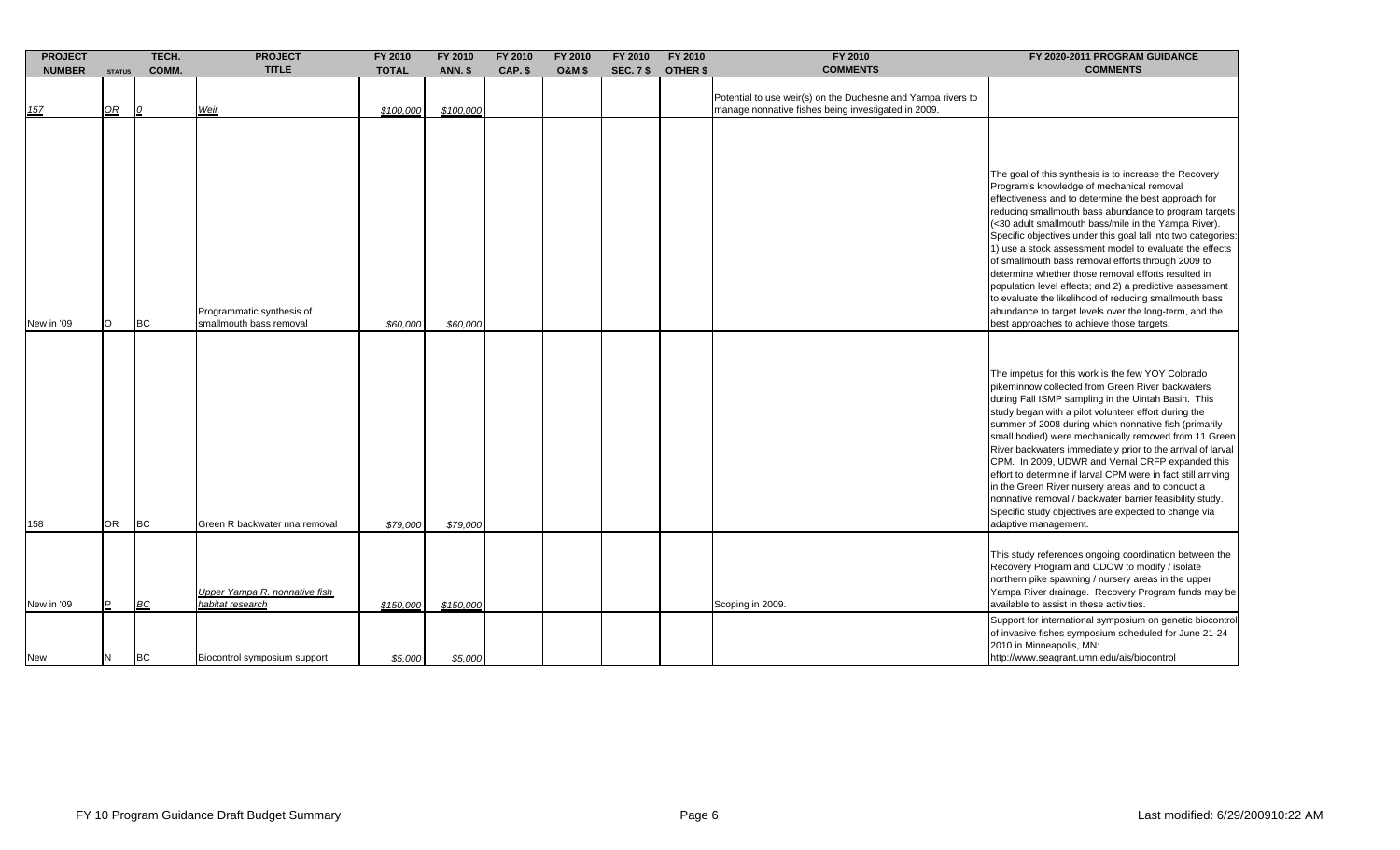| <b>PROJECT</b>           |                   | TECH.           | <b>PROJECT</b>                                                                    | FY 2010              | FY 2010              | FY 2010 | FY 2010           | FY 2010          | FY 2010         | FY 2010                                                                                                             | FY 2020-2011 PROGRAM GUIDANCE                                                                                                                                                                                                                                                                                                                                                                                                                                                                                                                                                                                                                                                                                                                      |
|--------------------------|-------------------|-----------------|-----------------------------------------------------------------------------------|----------------------|----------------------|---------|-------------------|------------------|-----------------|---------------------------------------------------------------------------------------------------------------------|----------------------------------------------------------------------------------------------------------------------------------------------------------------------------------------------------------------------------------------------------------------------------------------------------------------------------------------------------------------------------------------------------------------------------------------------------------------------------------------------------------------------------------------------------------------------------------------------------------------------------------------------------------------------------------------------------------------------------------------------------|
| <b>NUMBER</b>            | <b>STATUS</b>     | COMM.           | <b>TITLE</b>                                                                      | <b>TOTAL</b>         | <b>ANN. \$</b>       | CAP. \$ | <b>O&amp;M \$</b> | <b>SEC. 7 \$</b> | <b>OTHER \$</b> | <b>COMMENTS</b>                                                                                                     | <b>COMMENTS</b>                                                                                                                                                                                                                                                                                                                                                                                                                                                                                                                                                                                                                                                                                                                                    |
| 157                      | $\mathcal{Q}R$    | 10              | Weir                                                                              | \$100,000            | \$100,000            |         |                   |                  |                 | Potential to use weir(s) on the Duchesne and Yampa rivers to<br>manage nonnative fishes being investigated in 2009. |                                                                                                                                                                                                                                                                                                                                                                                                                                                                                                                                                                                                                                                                                                                                                    |
| New in '09               | $\circ$           | <b>BC</b>       | Programmatic synthesis of<br>smallmouth bass removal                              | \$60,000             | \$60,000             |         |                   |                  |                 |                                                                                                                     | The goal of this synthesis is to increase the Recovery<br>Program's knowledge of mechanical removal<br>effectiveness and to determine the best approach for<br>reducing smallmouth bass abundance to program targets<br>(<30 adult smallmouth bass/mile in the Yampa River).<br>Specific objectives under this goal fall into two categories:<br>1) use a stock assessment model to evaluate the effects<br>of smallmouth bass removal efforts through 2009 to<br>determine whether those removal efforts resulted in<br>population level effects; and 2) a predictive assessment<br>to evaluate the likelihood of reducing smallmouth bass<br>abundance to target levels over the long-term, and the<br>best approaches to achieve those targets. |
| 158                      | <b>OR</b>         | <b>BC</b>       | Green R backwater nna removal                                                     | \$79,000             | \$79,000             |         |                   |                  |                 |                                                                                                                     | The impetus for this work is the few YOY Colorado<br>pikeminnow collected from Green River backwaters<br>during Fall ISMP sampling in the Uintah Basin. This<br>study began with a pilot volunteer effort during the<br>summer of 2008 during which nonnative fish (primarily<br>small bodied) were mechanically removed from 11 Green<br>River backwaters immediately prior to the arrival of larval<br>CPM. In 2009, UDWR and Vernal CRFP expanded this<br>effort to determine if larval CPM were in fact still arriving<br>in the Green River nursery areas and to conduct a<br>nonnative removal / backwater barrier feasibility study.<br>Specific study objectives are expected to change via<br>adaptive management.                        |
| New in '09<br><b>New</b> | $\mathsf{P}$<br>N | BC<br><b>BC</b> | Upper Yampa R. nonnative fish<br>habitat research<br>Biocontrol symposium support | \$150,000<br>\$5,000 | \$150,000<br>\$5,000 |         |                   |                  |                 | Scoping in 2009.                                                                                                    | This study references ongoing coordination between the<br>Recovery Program and CDOW to modify / isolate<br>northern pike spawning / nursery areas in the upper<br>Yampa River drainage. Recovery Program funds may be<br>available to assist in these activities.<br>Support for international symposium on genetic biocontrol<br>of invasive fishes symposium scheduled for June 21-24<br>2010 in Minneapolis, MN:<br>http://www.seagrant.umn.edu/ais/biocontrol                                                                                                                                                                                                                                                                                  |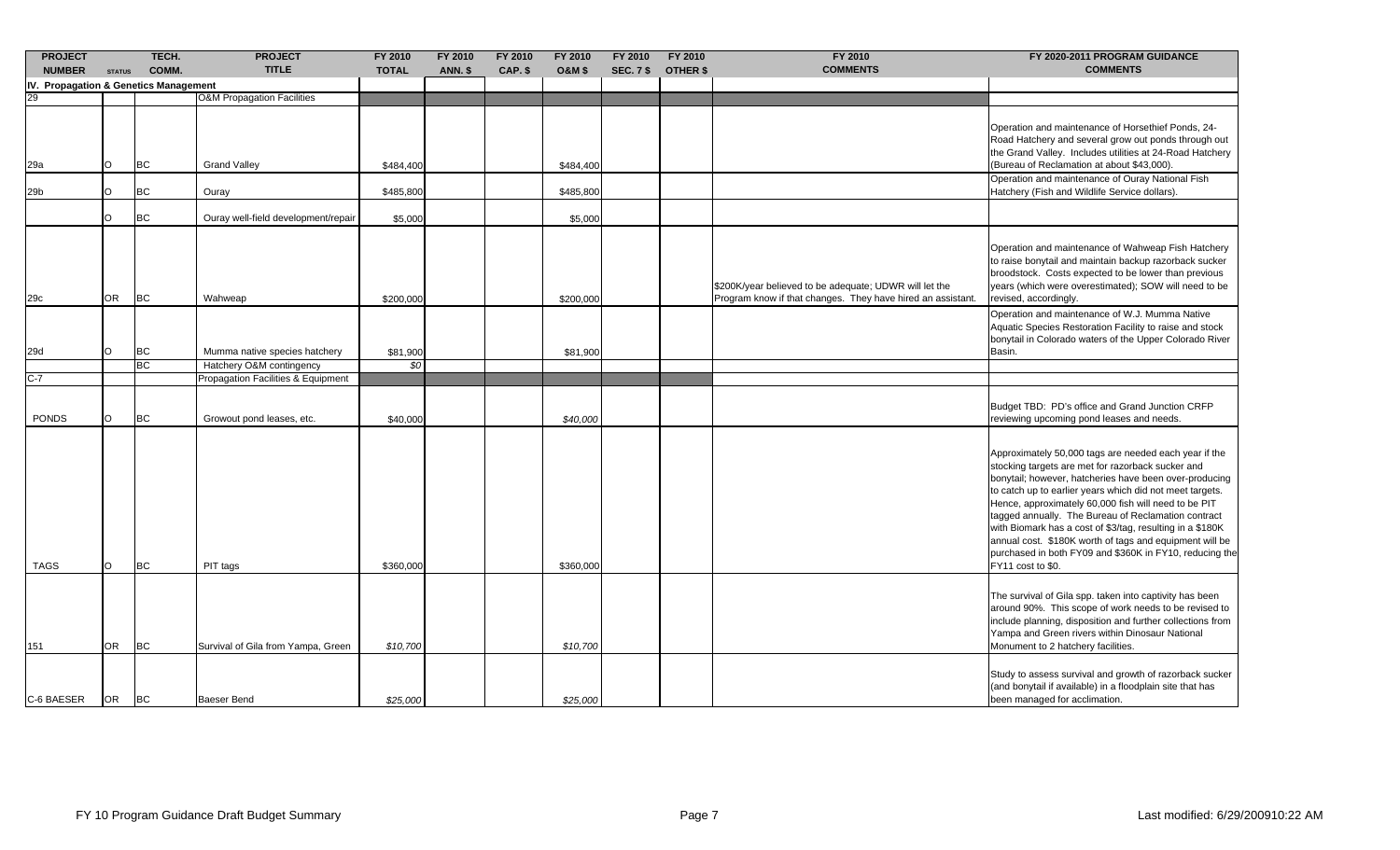| <b>PROJECT</b><br><b>NUMBER</b>       | <b>STATUS</b> | TECH.<br>COMM. | <b>PROJECT</b><br><b>TITLE</b>        | FY 2010<br><b>TOTAL</b> | FY 2010<br>ANN. \$ | FY 2010<br>CAP. \$ | FY 2010<br><b>O&amp;M \$</b> | FY 2010<br><b>SEC. 7 \$</b> | FY 2010<br><b>OTHER \$</b> | FY 2010<br><b>COMMENTS</b>                                                                                            | FY 2020-2011 PROGRAM GUIDANCE<br><b>COMMENTS</b>                                                                                                                                                                                                                                                                                                                                                                                                                                                                                                        |
|---------------------------------------|---------------|----------------|---------------------------------------|-------------------------|--------------------|--------------------|------------------------------|-----------------------------|----------------------------|-----------------------------------------------------------------------------------------------------------------------|---------------------------------------------------------------------------------------------------------------------------------------------------------------------------------------------------------------------------------------------------------------------------------------------------------------------------------------------------------------------------------------------------------------------------------------------------------------------------------------------------------------------------------------------------------|
| IV. Propagation & Genetics Management |               |                |                                       |                         |                    |                    |                              |                             |                            |                                                                                                                       |                                                                                                                                                                                                                                                                                                                                                                                                                                                                                                                                                         |
|                                       |               |                | <b>O&amp;M Propagation Facilities</b> |                         |                    |                    |                              |                             |                            |                                                                                                                       |                                                                                                                                                                                                                                                                                                                                                                                                                                                                                                                                                         |
|                                       |               |                |                                       |                         |                    |                    |                              |                             |                            |                                                                                                                       |                                                                                                                                                                                                                                                                                                                                                                                                                                                                                                                                                         |
| 29a                                   | O             | BC             | <b>Grand Valley</b>                   | \$484,400               |                    |                    | \$484,400                    |                             |                            |                                                                                                                       | Operation and maintenance of Horsethief Ponds, 24-<br>Road Hatchery and several grow out ponds through out<br>the Grand Valley. Includes utilities at 24-Road Hatchery<br>(Bureau of Reclamation at about \$43,000).                                                                                                                                                                                                                                                                                                                                    |
| 29b                                   | O             | <b>BC</b>      | Ouray                                 | \$485,800               |                    |                    | \$485,800                    |                             |                            |                                                                                                                       | Operation and maintenance of Ouray National Fish<br>Hatchery (Fish and Wildlife Service dollars).                                                                                                                                                                                                                                                                                                                                                                                                                                                       |
|                                       | O             | <b>BC</b>      | Ouray well-field development/repair   | \$5,000                 |                    |                    | \$5,000                      |                             |                            |                                                                                                                       |                                                                                                                                                                                                                                                                                                                                                                                                                                                                                                                                                         |
| 29c                                   | <b>OR</b>     | <b>BC</b>      | Wahweap                               | \$200,000               |                    |                    | \$200,000                    |                             |                            | \$200K/year believed to be adequate; UDWR will let the<br>Program know if that changes. They have hired an assistant. | Operation and maintenance of Wahweap Fish Hatchery<br>to raise bonytail and maintain backup razorback sucker<br>broodstock. Costs expected to be lower than previous<br>years (which were overestimated); SOW will need to be<br>revised, accordingly.                                                                                                                                                                                                                                                                                                  |
| 29d                                   | O             | BC             | Mumma native species hatchery         | \$81,900                |                    |                    | \$81,900                     |                             |                            |                                                                                                                       | Operation and maintenance of W.J. Mumma Native<br>Aquatic Species Restoration Facility to raise and stock<br>bonytail in Colorado waters of the Upper Colorado River<br>Basin.                                                                                                                                                                                                                                                                                                                                                                          |
|                                       |               | <b>BC</b>      | Hatchery O&M contingency              | \$0                     |                    |                    |                              |                             |                            |                                                                                                                       |                                                                                                                                                                                                                                                                                                                                                                                                                                                                                                                                                         |
| $C-7$                                 |               |                | Propagation Facilities & Equipment    |                         |                    |                    |                              |                             |                            |                                                                                                                       |                                                                                                                                                                                                                                                                                                                                                                                                                                                                                                                                                         |
| <b>PONDS</b>                          | $\circ$       | <b>BC</b>      | Growout pond leases, etc.             | \$40,000                |                    |                    | \$40,000                     |                             |                            |                                                                                                                       | Budget TBD: PD's office and Grand Junction CRFP<br>reviewing upcoming pond leases and needs.                                                                                                                                                                                                                                                                                                                                                                                                                                                            |
| <b>TAGS</b>                           | $\circ$       | <b>BC</b>      | PIT tags                              | \$360,000               |                    |                    | \$360,000                    |                             |                            |                                                                                                                       | Approximately 50,000 tags are needed each year if the<br>stocking targets are met for razorback sucker and<br>bonytail; however, hatcheries have been over-producing<br>to catch up to earlier years which did not meet targets.<br>Hence, approximately 60,000 fish will need to be PIT<br>tagged annually. The Bureau of Reclamation contract<br>with Biomark has a cost of \$3/tag, resulting in a \$180K<br>annual cost. \$180K worth of tags and equipment will be<br>purchased in both FY09 and \$360K in FY10, reducing the<br>FY11 cost to \$0. |
| 151                                   | <b>OR</b>     | <b>BC</b>      | Survival of Gila from Yampa, Green    | \$10,700                |                    |                    | \$10,700                     |                             |                            |                                                                                                                       | The survival of Gila spp. taken into captivity has been<br>around 90%. This scope of work needs to be revised to<br>include planning, disposition and further collections from<br>Yampa and Green rivers within Dinosaur National<br>Monument to 2 hatchery facilities.                                                                                                                                                                                                                                                                                 |
| C-6 BAESER                            | OR.           | <b>BC</b>      | Baeser Bend                           | \$25,000                |                    |                    | \$25,000                     |                             |                            |                                                                                                                       | Study to assess survival and growth of razorback sucker<br>(and bonytail if available) in a floodplain site that has<br>been managed for acclimation.                                                                                                                                                                                                                                                                                                                                                                                                   |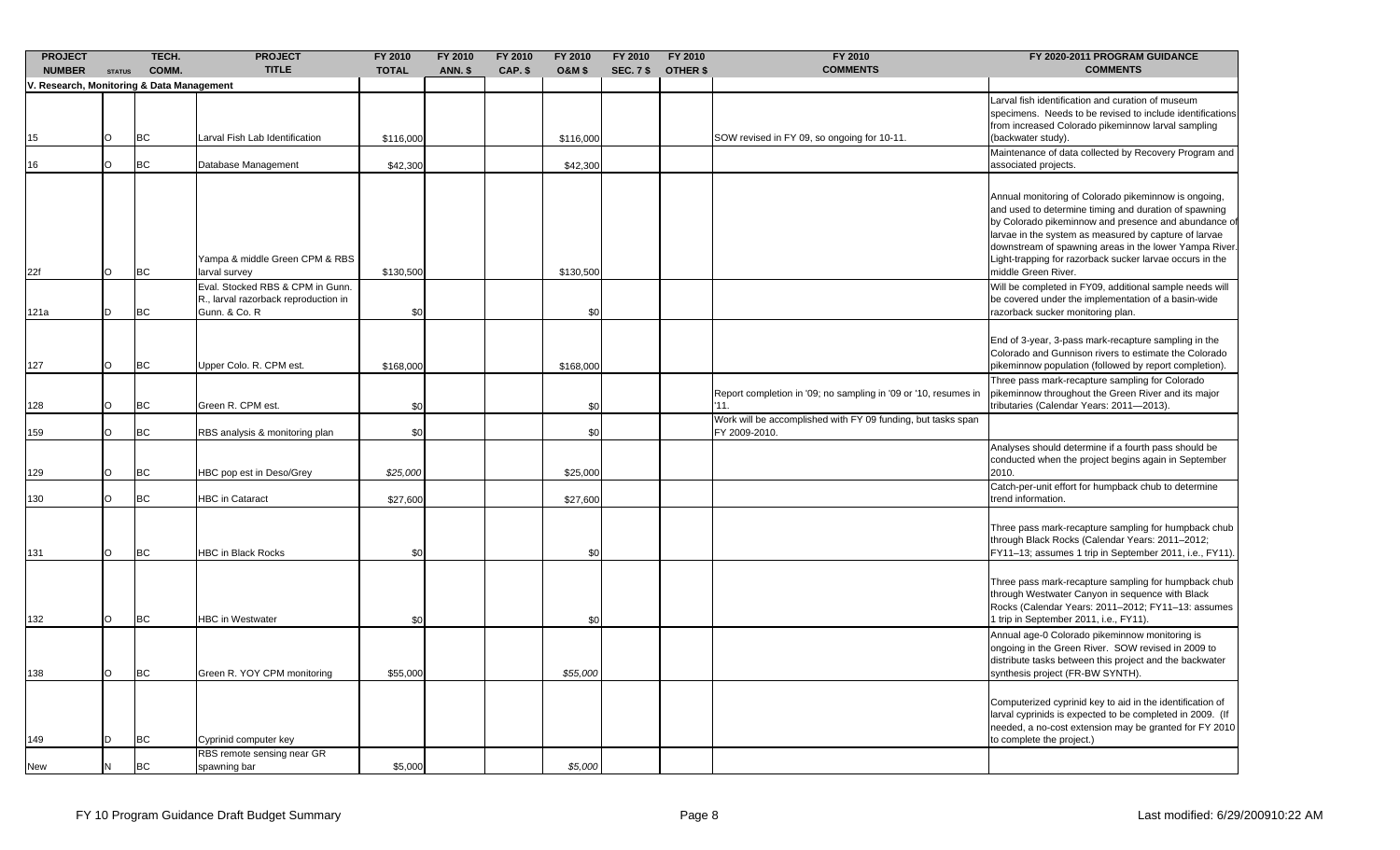| <b>PROJECT</b><br><b>NUMBER</b>           | <b>STATUS</b> | TECH.<br>COMM. | <b>PROJECT</b><br><b>TITLE</b>                                                            | FY 2010<br><b>TOTAL</b> | FY 2010<br><b>ANN. \$</b> | FY 2010<br>CAP. \$ | FY 2010<br><b>O&amp;M \$</b> | FY 2010<br><b>SEC. 7 \$</b> | FY 2010<br><b>OTHER \$</b> | FY 2010<br><b>COMMENTS</b>                                                    | FY 2020-2011 PROGRAM GUIDANCE<br><b>COMMENTS</b>                                                                                                                                                                                                                                                                                                                            |
|-------------------------------------------|---------------|----------------|-------------------------------------------------------------------------------------------|-------------------------|---------------------------|--------------------|------------------------------|-----------------------------|----------------------------|-------------------------------------------------------------------------------|-----------------------------------------------------------------------------------------------------------------------------------------------------------------------------------------------------------------------------------------------------------------------------------------------------------------------------------------------------------------------------|
| V. Research, Monitoring & Data Management |               |                |                                                                                           |                         |                           |                    |                              |                             |                            |                                                                               |                                                                                                                                                                                                                                                                                                                                                                             |
| 15                                        | O             | <b>BC</b>      | Larval Fish Lab Identification                                                            | \$116,000               |                           |                    | \$116,000                    |                             |                            | SOW revised in FY 09, so ongoing for 10-11.                                   | Larval fish identification and curation of museum<br>specimens. Needs to be revised to include identifications<br>from increased Colorado pikeminnow larval sampling<br>(backwater study).                                                                                                                                                                                  |
| 16                                        | $\circ$       | <b>BC</b>      | Database Management                                                                       | \$42,300                |                           |                    | \$42,300                     |                             |                            |                                                                               | Maintenance of data collected by Recovery Program and<br>associated projects.                                                                                                                                                                                                                                                                                               |
| 22f                                       | O             | BC             | Yampa & middle Green CPM & RBS<br>larval survey                                           | \$130,500               |                           |                    | \$130,500                    |                             |                            |                                                                               | Annual monitoring of Colorado pikeminnow is ongoing,<br>and used to determine timing and duration of spawning<br>by Colorado pikeminnow and presence and abundance of<br>larvae in the system as measured by capture of larvae<br>downstream of spawning areas in the lower Yampa River.<br>Light-trapping for razorback sucker larvae occurs in the<br>middle Green River. |
| 121a                                      | D             | <b>BC</b>      | Eval. Stocked RBS & CPM in Gunn.<br>R., larval razorback reproduction in<br>Gunn. & Co. R | \$0                     |                           |                    | \$0                          |                             |                            |                                                                               | Will be completed in FY09, additional sample needs will<br>be covered under the implementation of a basin-wide<br>razorback sucker monitoring plan.                                                                                                                                                                                                                         |
| 127                                       | $\circ$       | <b>BC</b>      | Upper Colo. R. CPM est.                                                                   | \$168,000               |                           |                    | \$168,000                    |                             |                            |                                                                               | End of 3-year, 3-pass mark-recapture sampling in the<br>Colorado and Gunnison rivers to estimate the Colorado<br>pikeminnow population (followed by report completion).                                                                                                                                                                                                     |
| 128                                       | O             | <b>BC</b>      | Green R. CPM est.                                                                         | \$0                     |                           |                    | \$0                          |                             |                            | Report completion in '09; no sampling in '09 or '10, resumes in<br>11.        | Three pass mark-recapture sampling for Colorado<br>pikeminnow throughout the Green River and its major<br>ributaries (Calendar Years: 2011-2013).                                                                                                                                                                                                                           |
| 159                                       | $\circ$       | <b>BC</b>      | RBS analysis & monitoring plan                                                            | \$0                     |                           |                    | \$0                          |                             |                            | Work will be accomplished with FY 09 funding, but tasks span<br>FY 2009-2010. |                                                                                                                                                                                                                                                                                                                                                                             |
| 129                                       | $\circ$       | <b>BC</b>      | HBC pop est in Deso/Grey                                                                  | \$25,000                |                           |                    | \$25,000                     |                             |                            |                                                                               | Analyses should determine if a fourth pass should be<br>conducted when the project begins again in September<br>2010.                                                                                                                                                                                                                                                       |
| 130                                       | $\circ$       | <b>BC</b>      | <b>HBC</b> in Cataract                                                                    | \$27,600                |                           |                    | \$27,600                     |                             |                            |                                                                               | Catch-per-unit effort for humpback chub to determine<br>trend information.                                                                                                                                                                                                                                                                                                  |
| 131                                       | O             | <b>BC</b>      | <b>HBC in Black Rocks</b>                                                                 | \$0                     |                           |                    | \$0                          |                             |                            |                                                                               | Three pass mark-recapture sampling for humpback chub<br>through Black Rocks (Calendar Years: 2011-2012;<br>FY11-13; assumes 1 trip in September 2011, i.e., FY11).                                                                                                                                                                                                          |
| 132                                       | O             | <b>BC</b>      | <b>HBC</b> in Westwater                                                                   | \$0                     |                           |                    | \$0                          |                             |                            |                                                                               | Three pass mark-recapture sampling for humpback chub<br>through Westwater Canyon in sequence with Black<br>Rocks (Calendar Years: 2011-2012; FY11-13: assumes<br>trip in September 2011, i.e., FY11).                                                                                                                                                                       |
| 138                                       | O             | <b>BC</b>      | Green R. YOY CPM monitoring                                                               | \$55,000                |                           |                    | \$55,000                     |                             |                            |                                                                               | Annual age-0 Colorado pikeminnow monitoring is<br>ongoing in the Green River. SOW revised in 2009 to<br>distribute tasks between this project and the backwater<br>synthesis project (FR-BW SYNTH).                                                                                                                                                                         |
| 149                                       | D             | <b>BC</b>      | Cyprinid computer key<br>RBS remote sensing near GR                                       |                         |                           |                    |                              |                             |                            |                                                                               | Computerized cyprinid key to aid in the identification of<br>larval cyprinids is expected to be completed in 2009. (If<br>needed, a no-cost extension may be granted for FY 2010<br>to complete the project.)                                                                                                                                                               |
| <b>New</b>                                | N             | <b>BC</b>      | spawning bar                                                                              | \$5,000                 |                           |                    | \$5,000                      |                             |                            |                                                                               |                                                                                                                                                                                                                                                                                                                                                                             |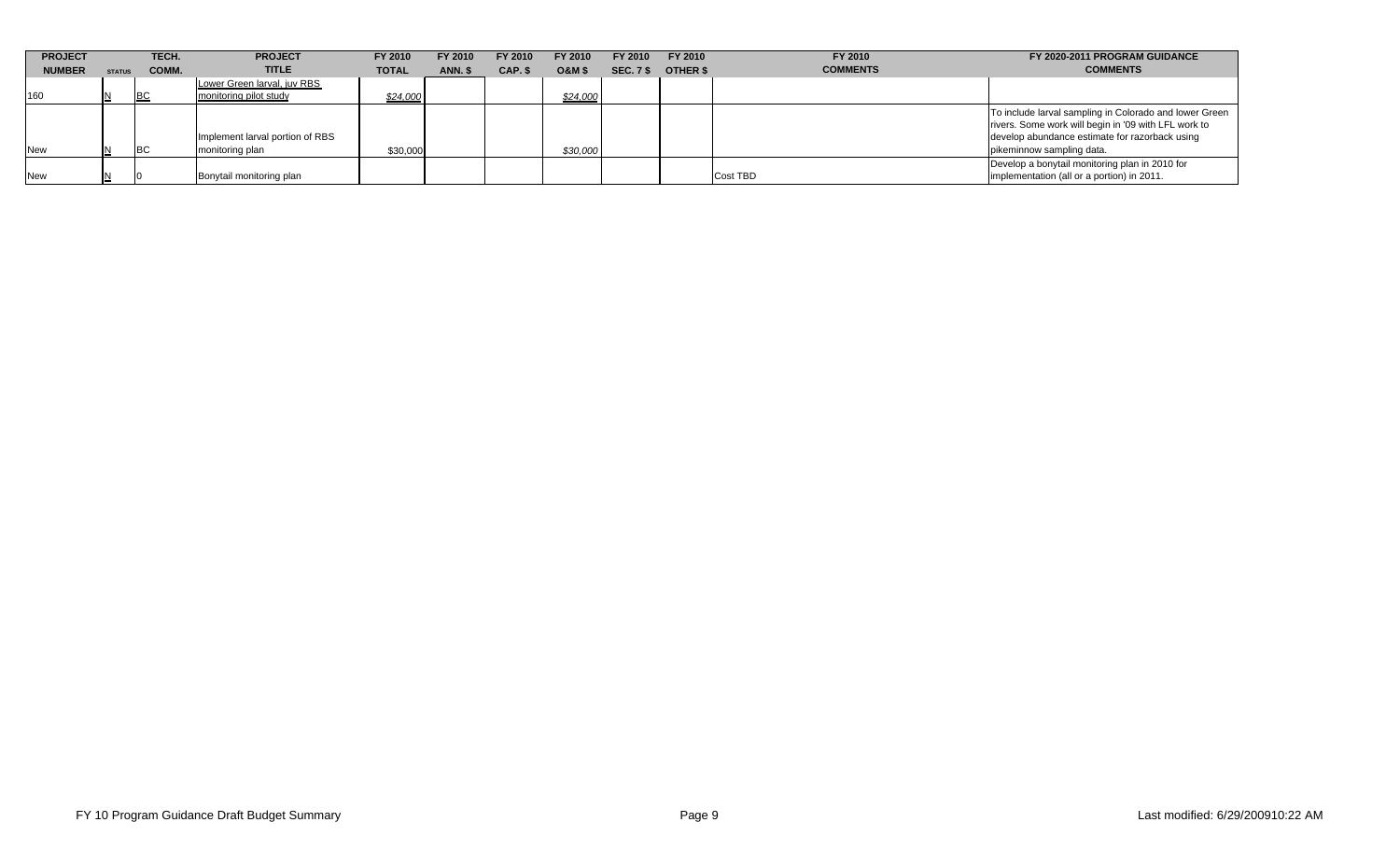| <b>PROJECT</b> |               | TECH.     | <b>PROJECT</b>                                     | FY 2010      | FY 2010 | FY 2010 | FY 2010           | FY 2010          | FY 2010         | FY 2010         | FY 2020-2011 PROGRAM GUIDANCE                                                                                                                                                                 |
|----------------|---------------|-----------|----------------------------------------------------|--------------|---------|---------|-------------------|------------------|-----------------|-----------------|-----------------------------------------------------------------------------------------------------------------------------------------------------------------------------------------------|
| <b>NUMBER</b>  | <b>STATUS</b> | COMM.     | <b>TITLE</b>                                       | <b>TOTAL</b> | ANN. \$ | CAP. \$ | <b>O&amp;M \$</b> | <b>SEC. 7 \$</b> | <b>OTHER \$</b> | <b>COMMENTS</b> | <b>COMMENTS</b>                                                                                                                                                                               |
|                |               |           | Lower Green larval, iuv RBS                        |              |         |         |                   |                  |                 |                 |                                                                                                                                                                                               |
| 160            | IN.           | BC        | monitoring pilot study                             | \$24,000     |         |         | \$24,000          |                  |                 |                 |                                                                                                                                                                                               |
| <b>New</b>     |               | <b>BC</b> | Implement larval portion of RBS<br>monitoring plan | \$30,000     |         |         | \$30,000          |                  |                 |                 | To include larval sampling in Colorado and lower Green<br>rivers. Some work will begin in '09 with LFL work to<br>develop abundance estimate for razorback using<br>pikeminnow sampling data. |
| <b>New</b>     | IN.           |           | Bonytail monitoring plan                           |              |         |         |                   |                  |                 | <b>Cost TBD</b> | Develop a bonytail monitoring plan in 2010 for<br>implementation (all or a portion) in 2011.                                                                                                  |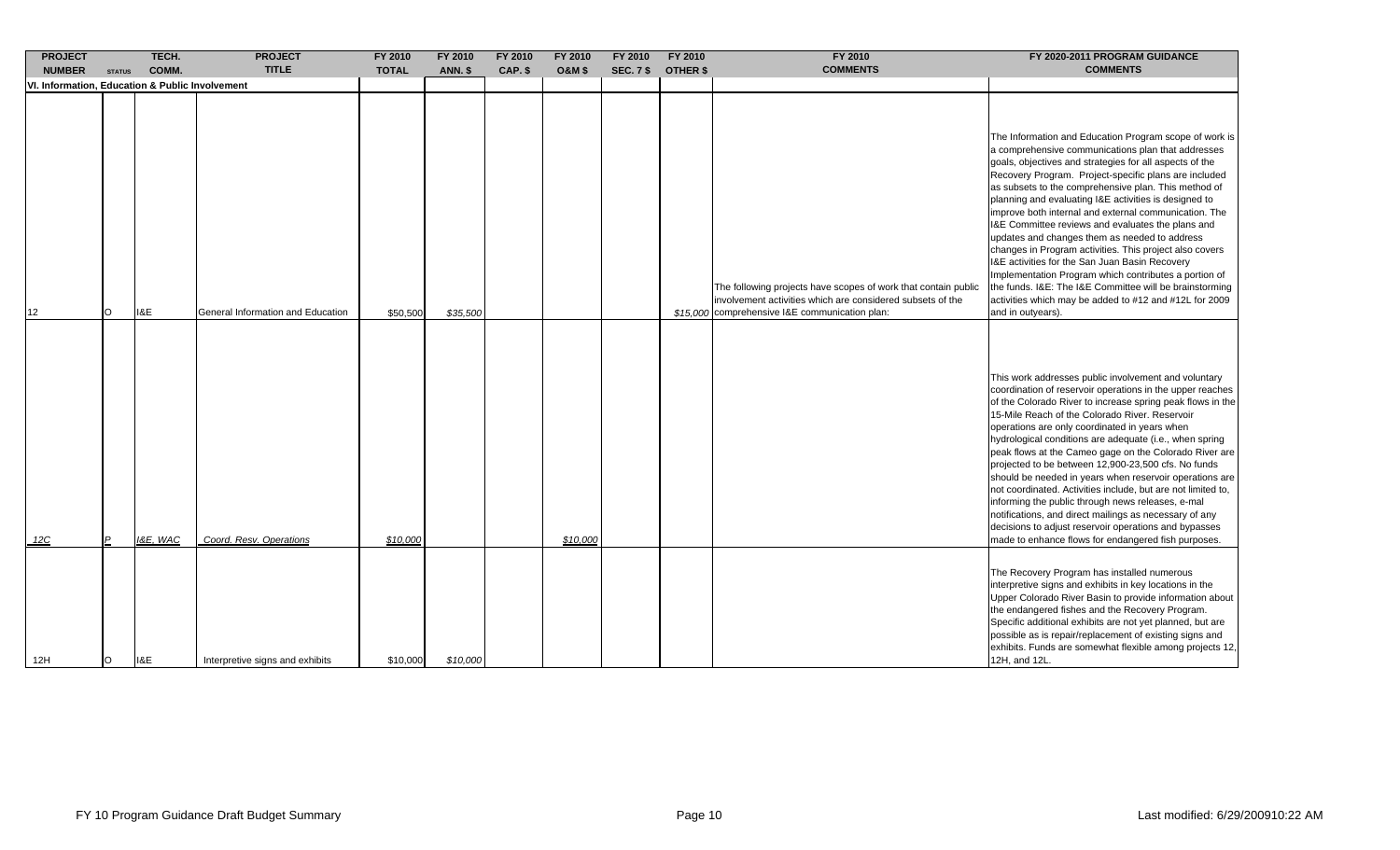| <b>PROJECT</b>                                  |                | TECH.    | <b>PROJECT</b>                    | FY 2010      | FY 2010        | FY 2010 | FY 2010           | FY 2010          | FY 2010         | FY 2010                                                                                                                      | FY 2020-2011 PROGRAM GUIDANCE                                                                                                                                                                                                                                                                                                                                                                                                                                                                                                                                                                                                                                                                                                                                                                                            |
|-------------------------------------------------|----------------|----------|-----------------------------------|--------------|----------------|---------|-------------------|------------------|-----------------|------------------------------------------------------------------------------------------------------------------------------|--------------------------------------------------------------------------------------------------------------------------------------------------------------------------------------------------------------------------------------------------------------------------------------------------------------------------------------------------------------------------------------------------------------------------------------------------------------------------------------------------------------------------------------------------------------------------------------------------------------------------------------------------------------------------------------------------------------------------------------------------------------------------------------------------------------------------|
| <b>NUMBER</b>                                   | <b>STATUS</b>  | COMM.    | <b>TITLE</b>                      | <b>TOTAL</b> | <b>ANN. \$</b> | CAP. \$ | <b>O&amp;M \$</b> | <b>SEC. 7 \$</b> | <b>OTHER \$</b> | <b>COMMENTS</b>                                                                                                              | <b>COMMENTS</b>                                                                                                                                                                                                                                                                                                                                                                                                                                                                                                                                                                                                                                                                                                                                                                                                          |
| VI. Information, Education & Public Involvement |                |          |                                   |              |                |         |                   |                  |                 |                                                                                                                              |                                                                                                                                                                                                                                                                                                                                                                                                                                                                                                                                                                                                                                                                                                                                                                                                                          |
|                                                 |                |          |                                   |              |                |         |                   |                  |                 | The following projects have scopes of work that contain public<br>involvement activities which are considered subsets of the | The Information and Education Program scope of work is<br>a comprehensive communications plan that addresses<br>goals, objectives and strategies for all aspects of the<br>Recovery Program. Project-specific plans are included<br>as subsets to the comprehensive plan. This method of<br>planning and evaluating I&E activities is designed to<br>improve both internal and external communication. The<br>I&E Committee reviews and evaluates the plans and<br>updates and changes them as needed to address<br>changes in Program activities. This project also covers<br>I&E activities for the San Juan Basin Recovery<br>Implementation Program which contributes a portion of<br>the funds. I&E: The I&E Committee will be brainstorming<br>activities which may be added to #12 and #12L for 2009              |
| 12                                              | O              | I&E      | General Information and Education | \$50,500     | \$35,500       |         |                   |                  |                 | \$15,000 comprehensive I&E communication plan:                                                                               | and in outyears).                                                                                                                                                                                                                                                                                                                                                                                                                                                                                                                                                                                                                                                                                                                                                                                                        |
| 12C                                             | $\overline{P}$ | I&E, WAC | Coord. Resv. Operations           | \$10,000     |                |         | \$10,000          |                  |                 |                                                                                                                              | This work addresses public involvement and voluntary<br>coordination of reservoir operations in the upper reaches<br>of the Colorado River to increase spring peak flows in the<br>15-Mile Reach of the Colorado River. Reservoir<br>operations are only coordinated in years when<br>hydrological conditions are adequate (i.e., when spring<br>peak flows at the Cameo gage on the Colorado River are<br>projected to be between 12,900-23,500 cfs. No funds<br>should be needed in years when reservoir operations are<br>not coordinated. Activities include, but are not limited to,<br>informing the public through news releases, e-mal<br>notifications, and direct mailings as necessary of any<br>decisions to adjust reservoir operations and bypasses<br>made to enhance flows for endangered fish purposes. |
| 12H                                             | <b>IO</b>      | I&E      | Interpretive signs and exhibits   | \$10,000     | \$10,000       |         |                   |                  |                 |                                                                                                                              | The Recovery Program has installed numerous<br>interpretive signs and exhibits in key locations in the<br>Upper Colorado River Basin to provide information about<br>the endangered fishes and the Recovery Program.<br>Specific additional exhibits are not yet planned, but are<br>possible as is repair/replacement of existing signs and<br>exhibits. Funds are somewhat flexible among projects 12,<br>12H, and 12L.                                                                                                                                                                                                                                                                                                                                                                                                |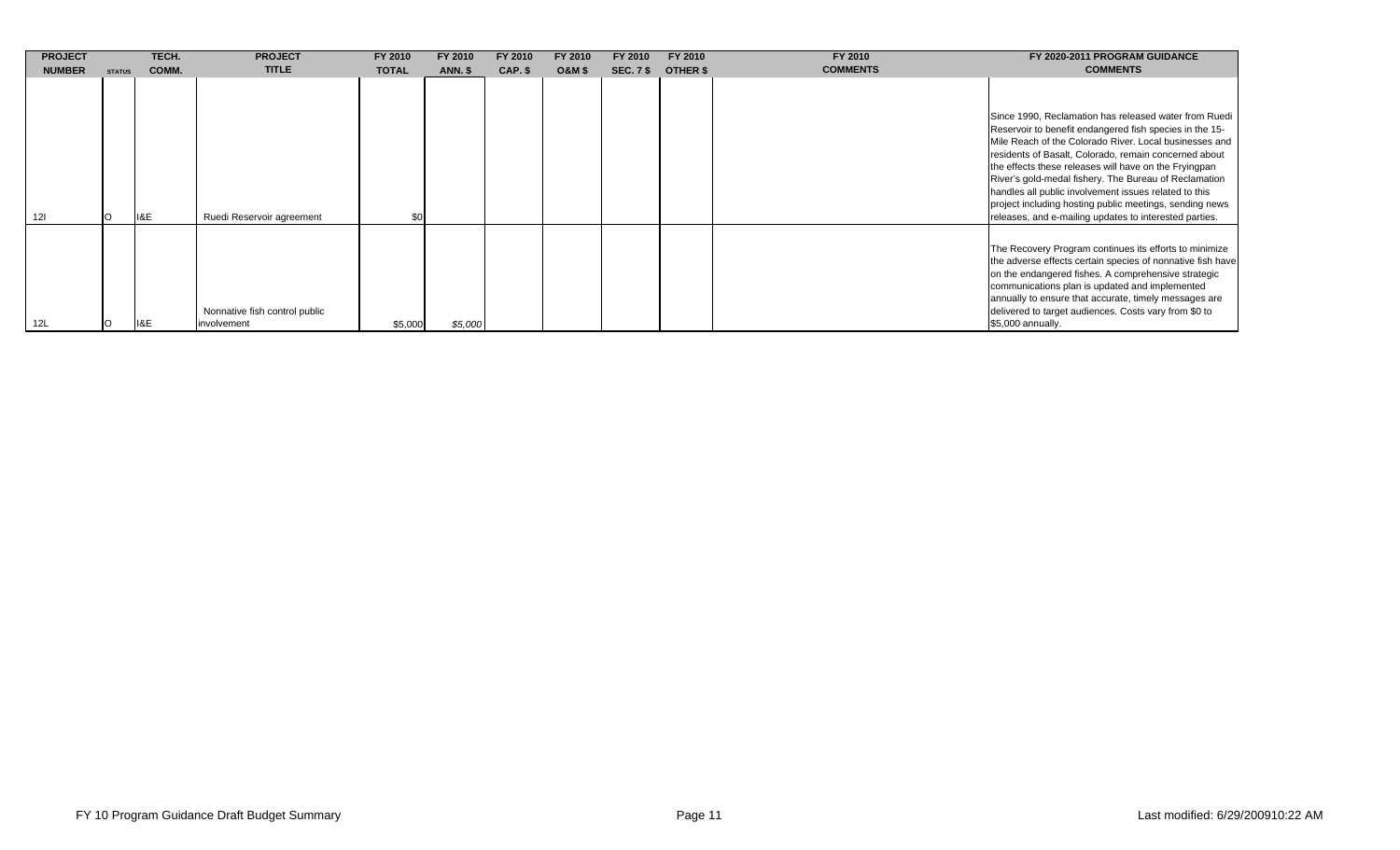| <b>PROJECT</b> |               | TECH. | <b>PROJECT</b>                               | FY 2010      | FY 2010        | FY 2010 | FY 2010           | FY 2010          | FY 2010  | FY 2010         | FY 2020-2011 PROGRAM GUIDANCE                                                                                                                                                                                                                                                                                                                                                                                                                                                                                                       |
|----------------|---------------|-------|----------------------------------------------|--------------|----------------|---------|-------------------|------------------|----------|-----------------|-------------------------------------------------------------------------------------------------------------------------------------------------------------------------------------------------------------------------------------------------------------------------------------------------------------------------------------------------------------------------------------------------------------------------------------------------------------------------------------------------------------------------------------|
| <b>NUMBER</b>  | <b>STATUS</b> | COMM. | <b>TITLE</b>                                 | <b>TOTAL</b> | <b>ANN. \$</b> | CAP. \$ | <b>O&amp;M \$</b> | <b>SEC. 7 \$</b> | OTHER \$ | <b>COMMENTS</b> | <b>COMMENTS</b>                                                                                                                                                                                                                                                                                                                                                                                                                                                                                                                     |
|                |               | II&E  | Ruedi Reservoir agreement                    | \$0          |                |         |                   |                  |          |                 | Since 1990, Reclamation has released water from Ruedi<br>Reservoir to benefit endangered fish species in the 15-<br>Mile Reach of the Colorado River. Local businesses and<br>residents of Basalt, Colorado, remain concerned about<br>the effects these releases will have on the Fryingpan<br>River's gold-medal fishery. The Bureau of Reclamation<br>handles all public involvement issues related to this<br>project including hosting public meetings, sending news<br>releases, and e-mailing updates to interested parties. |
| 12L            |               | II&E  | Nonnative fish control public<br>involvement | \$5,000      | \$5,000        |         |                   |                  |          |                 | The Recovery Program continues its efforts to minimize<br>the adverse effects certain species of nonnative fish have<br>on the endangered fishes. A comprehensive strategic<br>communications plan is updated and implemented<br>annually to ensure that accurate, timely messages are<br>delivered to target audiences. Costs vary from \$0 to<br>\$5,000 annually.                                                                                                                                                                |